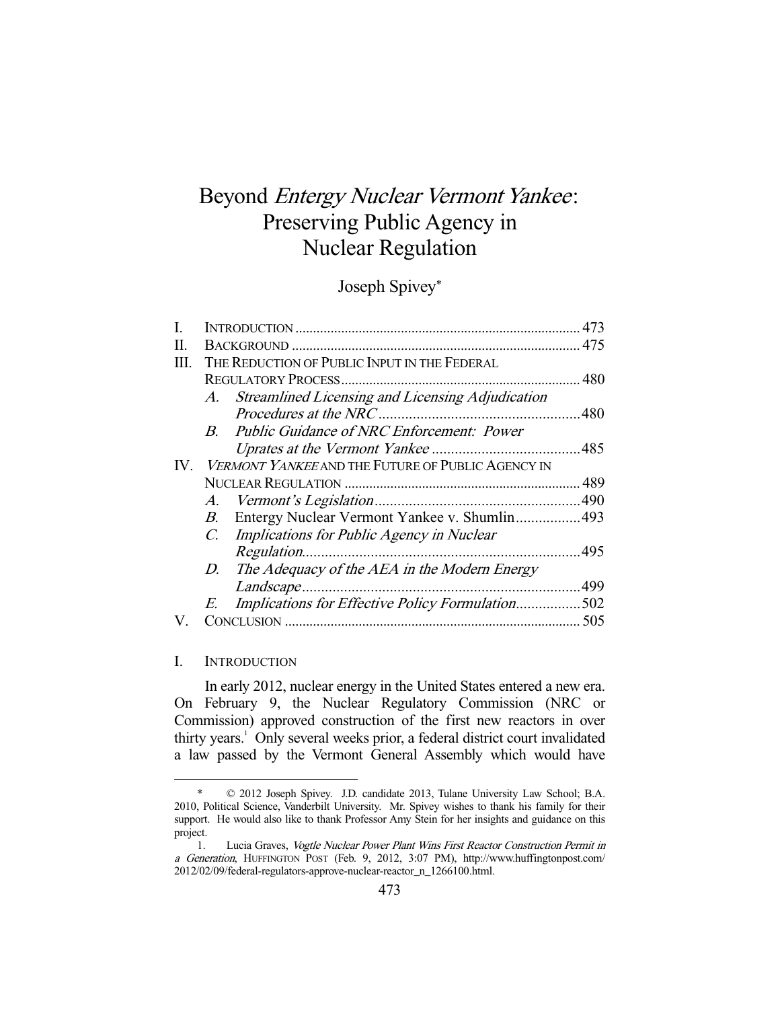# Beyond Entergy Nuclear Vermont Yankee: Preserving Public Agency in Nuclear Regulation

# Joseph Spivey\*

|                                                       |                                              | 473                                                                                                                                                                                                                                                        |
|-------------------------------------------------------|----------------------------------------------|------------------------------------------------------------------------------------------------------------------------------------------------------------------------------------------------------------------------------------------------------------|
|                                                       |                                              |                                                                                                                                                                                                                                                            |
|                                                       |                                              |                                                                                                                                                                                                                                                            |
|                                                       |                                              |                                                                                                                                                                                                                                                            |
|                                                       |                                              |                                                                                                                                                                                                                                                            |
|                                                       |                                              |                                                                                                                                                                                                                                                            |
|                                                       |                                              |                                                                                                                                                                                                                                                            |
|                                                       |                                              |                                                                                                                                                                                                                                                            |
| IV. VERMONT YANKEE AND THE FUTURE OF PUBLIC AGENCY IN |                                              |                                                                                                                                                                                                                                                            |
|                                                       |                                              |                                                                                                                                                                                                                                                            |
|                                                       |                                              |                                                                                                                                                                                                                                                            |
|                                                       |                                              |                                                                                                                                                                                                                                                            |
| $C_{\cdot}$                                           |                                              |                                                                                                                                                                                                                                                            |
|                                                       |                                              | .495                                                                                                                                                                                                                                                       |
| D.                                                    | The Adequacy of the AEA in the Modern Energy |                                                                                                                                                                                                                                                            |
|                                                       |                                              | .499                                                                                                                                                                                                                                                       |
| E.                                                    |                                              |                                                                                                                                                                                                                                                            |
|                                                       |                                              |                                                                                                                                                                                                                                                            |
|                                                       |                                              | THE REDUCTION OF PUBLIC INPUT IN THE FEDERAL<br>A. Streamlined Licensing and Licensing Adjudication<br>B. Public Guidance of NRC Enforcement: Power<br>A.<br>Implications for Public Agency in Nuclear<br>Implications for Effective Policy Formulation502 |

#### I. INTRODUCTION

-

 In early 2012, nuclear energy in the United States entered a new era. On February 9, the Nuclear Regulatory Commission (NRC or Commission) approved construction of the first new reactors in over thirty years.<sup>1</sup> Only several weeks prior, a federal district court invalidated a law passed by the Vermont General Assembly which would have

 <sup>\* © 2012</sup> Joseph Spivey. J.D. candidate 2013, Tulane University Law School; B.A. 2010, Political Science, Vanderbilt University. Mr. Spivey wishes to thank his family for their support. He would also like to thank Professor Amy Stein for her insights and guidance on this project.

<sup>1.</sup> Lucia Graves, Vogtle Nuclear Power Plant Wins First Reactor Construction Permit in a Generation, HUFFINGTON POST (Feb. 9, 2012, 3:07 PM), http://www.huffingtonpost.com/ 2012/02/09/federal-regulators-approve-nuclear-reactor\_n\_1266100.html.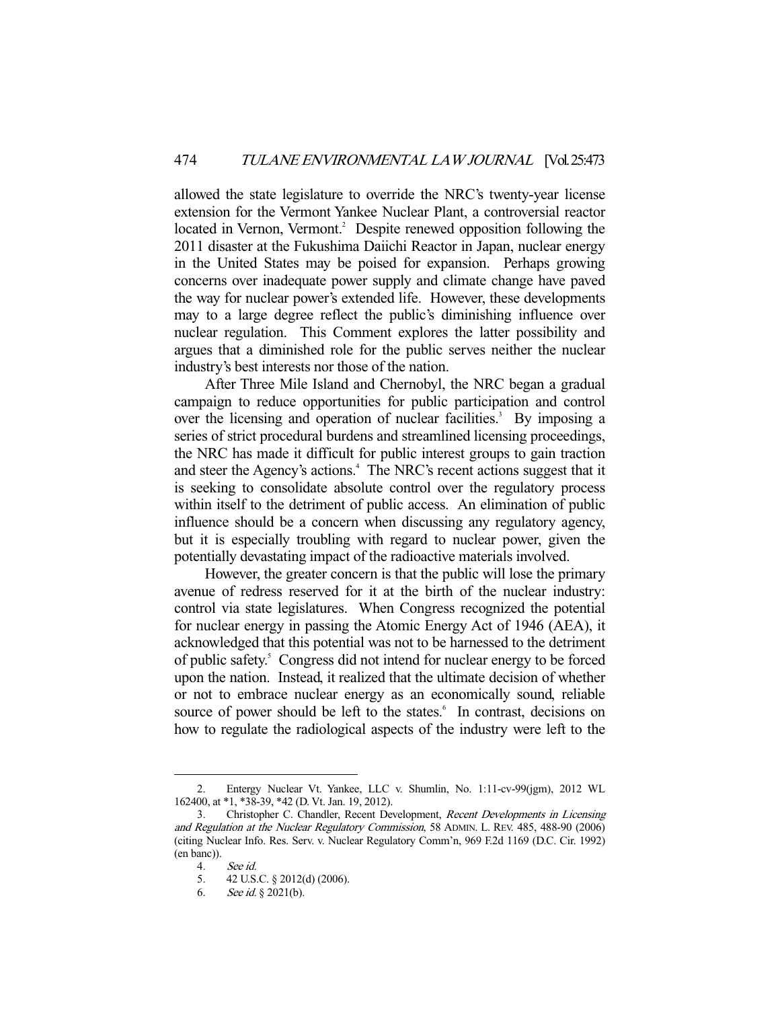allowed the state legislature to override the NRC's twenty-year license extension for the Vermont Yankee Nuclear Plant, a controversial reactor located in Vernon, Vermont.<sup>2</sup> Despite renewed opposition following the 2011 disaster at the Fukushima Daiichi Reactor in Japan, nuclear energy in the United States may be poised for expansion. Perhaps growing concerns over inadequate power supply and climate change have paved the way for nuclear power's extended life. However, these developments may to a large degree reflect the public's diminishing influence over nuclear regulation. This Comment explores the latter possibility and argues that a diminished role for the public serves neither the nuclear industry's best interests nor those of the nation.

 After Three Mile Island and Chernobyl, the NRC began a gradual campaign to reduce opportunities for public participation and control over the licensing and operation of nuclear facilities.<sup>3</sup> By imposing a series of strict procedural burdens and streamlined licensing proceedings, the NRC has made it difficult for public interest groups to gain traction and steer the Agency's actions.<sup>4</sup> The NRC's recent actions suggest that it is seeking to consolidate absolute control over the regulatory process within itself to the detriment of public access. An elimination of public influence should be a concern when discussing any regulatory agency, but it is especially troubling with regard to nuclear power, given the potentially devastating impact of the radioactive materials involved.

 However, the greater concern is that the public will lose the primary avenue of redress reserved for it at the birth of the nuclear industry: control via state legislatures. When Congress recognized the potential for nuclear energy in passing the Atomic Energy Act of 1946 (AEA), it acknowledged that this potential was not to be harnessed to the detriment of public safety.<sup>5</sup> Congress did not intend for nuclear energy to be forced upon the nation. Instead, it realized that the ultimate decision of whether or not to embrace nuclear energy as an economically sound, reliable source of power should be left to the states.<sup>6</sup> In contrast, decisions on how to regulate the radiological aspects of the industry were left to the

 <sup>2.</sup> Entergy Nuclear Vt. Yankee, LLC v. Shumlin, No. 1:11-cv-99(jgm), 2012 WL 162400, at \*1, \*38-39, \*42 (D. Vt. Jan. 19, 2012).

 <sup>3.</sup> Christopher C. Chandler, Recent Development, Recent Developments in Licensing and Regulation at the Nuclear Regulatory Commission, 58 ADMIN. L. REV. 485, 488-90 (2006) (citing Nuclear Info. Res. Serv. v. Nuclear Regulatory Comm'n, 969 F.2d 1169 (D.C. Cir. 1992) (en banc)).

<sup>4.</sup> See id.<br>5. 42 U.S

 <sup>5. 42</sup> U.S.C. § 2012(d) (2006).

 <sup>6.</sup> See id. § 2021(b).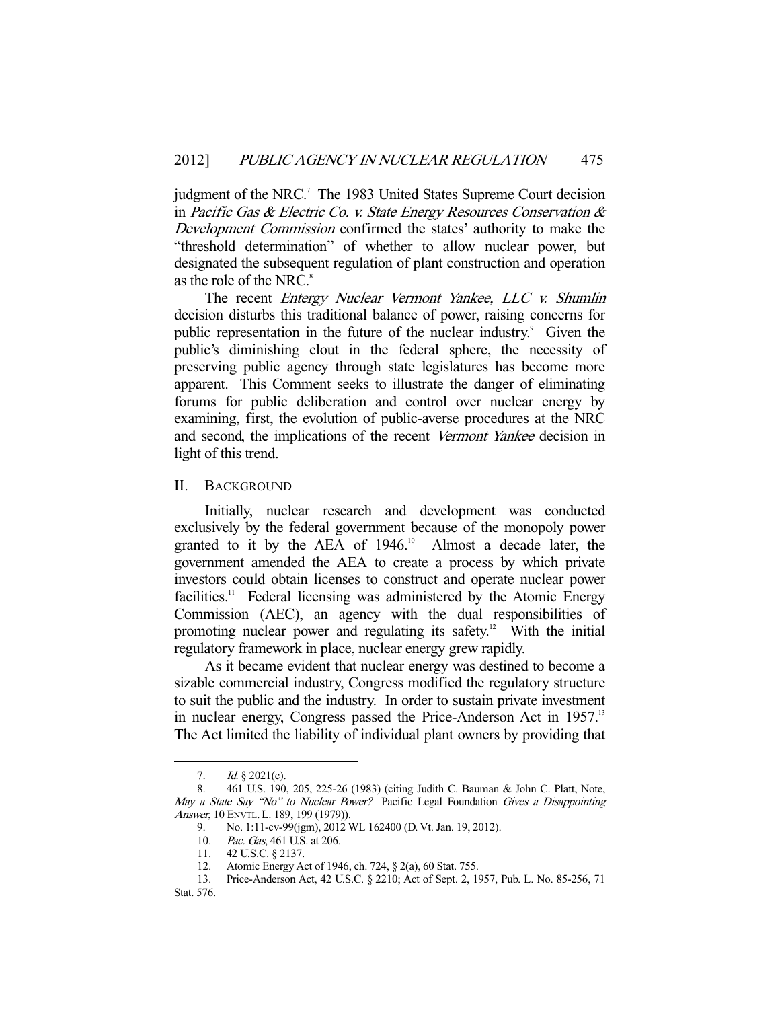judgment of the NRC.<sup>7</sup> The 1983 United States Supreme Court decision in Pacific Gas & Electric Co. v. State Energy Resources Conservation & Development Commission confirmed the states' authority to make the "threshold determination" of whether to allow nuclear power, but designated the subsequent regulation of plant construction and operation as the role of the NRC.<sup>8</sup>

 The recent Entergy Nuclear Vermont Yankee, LLC v. Shumlin decision disturbs this traditional balance of power, raising concerns for public representation in the future of the nuclear industry.<sup>9</sup> Given the public's diminishing clout in the federal sphere, the necessity of preserving public agency through state legislatures has become more apparent. This Comment seeks to illustrate the danger of eliminating forums for public deliberation and control over nuclear energy by examining, first, the evolution of public-averse procedures at the NRC and second, the implications of the recent Vermont Yankee decision in light of this trend.

II. BACKGROUND

 Initially, nuclear research and development was conducted exclusively by the federal government because of the monopoly power granted to it by the AEA of 1946.<sup>10</sup> Almost a decade later, the government amended the AEA to create a process by which private investors could obtain licenses to construct and operate nuclear power facilities.<sup>11</sup> Federal licensing was administered by the Atomic Energy Commission (AEC), an agency with the dual responsibilities of promoting nuclear power and regulating its safety.<sup>12</sup> With the initial regulatory framework in place, nuclear energy grew rapidly.

 As it became evident that nuclear energy was destined to become a sizable commercial industry, Congress modified the regulatory structure to suit the public and the industry. In order to sustain private investment in nuclear energy, Congress passed the Price-Anderson Act in 1957.<sup>13</sup> The Act limited the liability of individual plant owners by providing that

 <sup>7.</sup> Id. § 2021(c).

 <sup>8. 461</sup> U.S. 190, 205, 225-26 (1983) (citing Judith C. Bauman & John C. Platt, Note, May a State Say "No" to Nuclear Power? Pacific Legal Foundation Gives a Disappointing Answer, 10 ENVTL. L. 189, 199 (1979)).

 <sup>9.</sup> No. 1:11-cv-99(jgm), 2012 WL 162400 (D. Vt. Jan. 19, 2012).

 <sup>10.</sup> Pac. Gas, 461 U.S. at 206.

 <sup>11. 42</sup> U.S.C. § 2137.

 <sup>12.</sup> Atomic Energy Act of 1946, ch. 724, § 2(a), 60 Stat. 755.

 <sup>13.</sup> Price-Anderson Act, 42 U.S.C. § 2210; Act of Sept. 2, 1957, Pub. L. No. 85-256, 71

Stat. 576.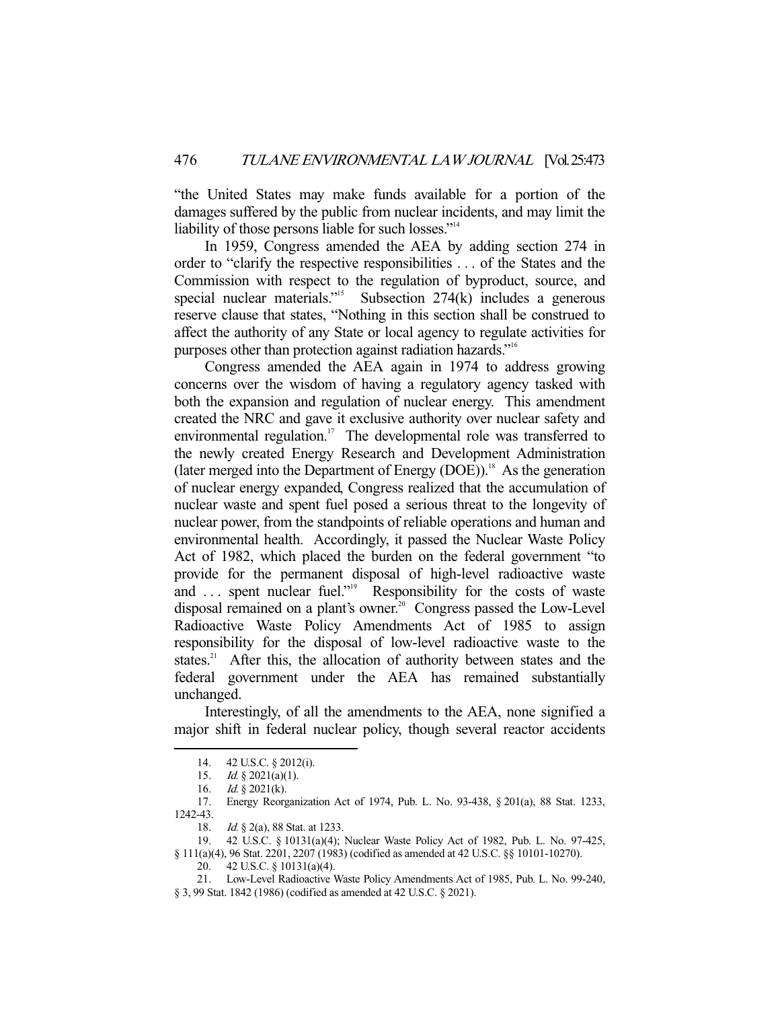"the United States may make funds available for a portion of the damages suffered by the public from nuclear incidents, and may limit the liability of those persons liable for such losses."<sup>14</sup>

 In 1959, Congress amended the AEA by adding section 274 in order to "clarify the respective responsibilities . . . of the States and the Commission with respect to the regulation of byproduct, source, and special nuclear materials."<sup>15</sup> Subsection  $274(k)$  includes a generous reserve clause that states, "Nothing in this section shall be construed to affect the authority of any State or local agency to regulate activities for purposes other than protection against radiation hazards."16

 Congress amended the AEA again in 1974 to address growing concerns over the wisdom of having a regulatory agency tasked with both the expansion and regulation of nuclear energy. This amendment created the NRC and gave it exclusive authority over nuclear safety and environmental regulation.<sup>17</sup> The developmental role was transferred to the newly created Energy Research and Development Administration (later merged into the Department of Energy  $(DOE)$ ).<sup>18</sup> As the generation of nuclear energy expanded, Congress realized that the accumulation of nuclear waste and spent fuel posed a serious threat to the longevity of nuclear power, from the standpoints of reliable operations and human and environmental health. Accordingly, it passed the Nuclear Waste Policy Act of 1982, which placed the burden on the federal government "to provide for the permanent disposal of high-level radioactive waste and ... spent nuclear fuel."<sup>19</sup> Responsibility for the costs of waste disposal remained on a plant's owner.<sup>20</sup> Congress passed the Low-Level Radioactive Waste Policy Amendments Act of 1985 to assign responsibility for the disposal of low-level radioactive waste to the states.<sup>21</sup> After this, the allocation of authority between states and the federal government under the AEA has remained substantially unchanged.

 Interestingly, of all the amendments to the AEA, none signified a major shift in federal nuclear policy, though several reactor accidents

 <sup>14. 42</sup> U.S.C. § 2012(i).

<sup>15.</sup> *Id.* § 2021(a)(1).

<sup>16.</sup> *Id.* § 2021(k).

 <sup>17.</sup> Energy Reorganization Act of 1974, Pub. L. No. 93-438, § 201(a), 88 Stat. 1233, 1242-43.

*Id.* § 2(a), 88 Stat. at 1233.

 <sup>19. 42</sup> U.S.C. § 10131(a)(4); Nuclear Waste Policy Act of 1982, Pub. L. No. 97-425, § 111(a)(4), 96 Stat. 2201, 2207 (1983) (codified as amended at 42 U.S.C. §§ 10101-10270).

 <sup>20. 42</sup> U.S.C. § 10131(a)(4).

 <sup>21.</sup> Low-Level Radioactive Waste Policy Amendments Act of 1985, Pub. L. No. 99-240,

<sup>§ 3, 99</sup> Stat. 1842 (1986) (codified as amended at 42 U.S.C. § 2021).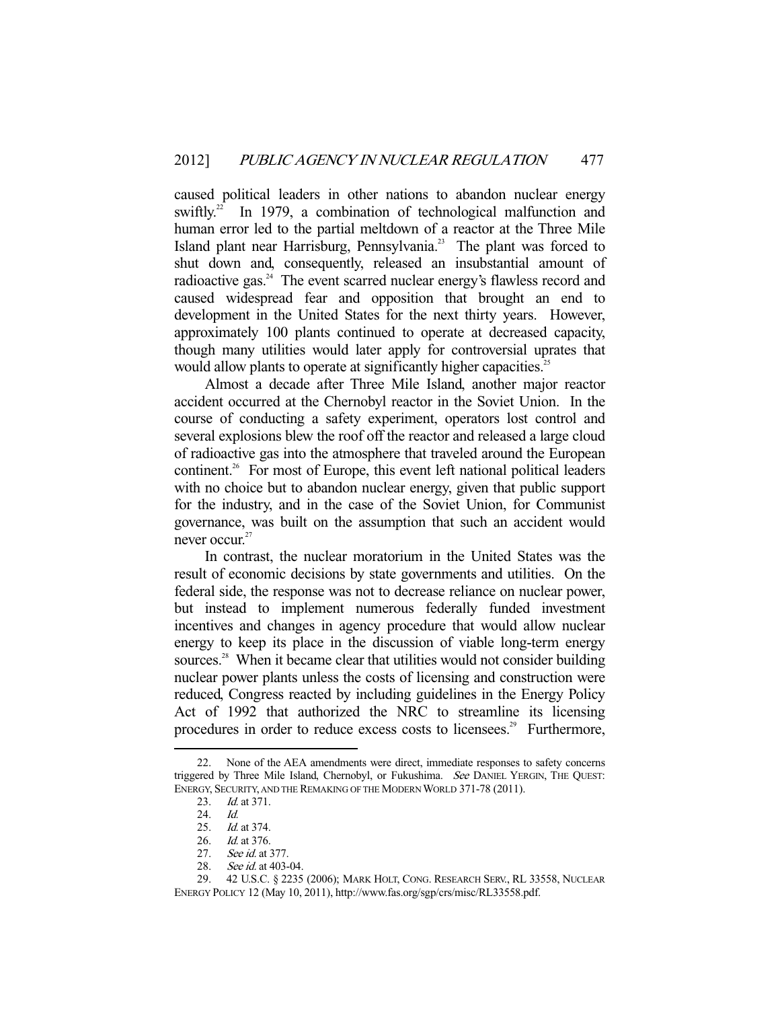caused political leaders in other nations to abandon nuclear energy swiftly.<sup>22</sup> In 1979, a combination of technological malfunction and In 1979, a combination of technological malfunction and human error led to the partial meltdown of a reactor at the Three Mile Island plant near Harrisburg, Pennsylvania.<sup>23</sup> The plant was forced to shut down and, consequently, released an insubstantial amount of radioactive gas.<sup>24</sup> The event scarred nuclear energy's flawless record and caused widespread fear and opposition that brought an end to development in the United States for the next thirty years. However, approximately 100 plants continued to operate at decreased capacity, though many utilities would later apply for controversial uprates that would allow plants to operate at significantly higher capacities.<sup>25</sup>

 Almost a decade after Three Mile Island, another major reactor accident occurred at the Chernobyl reactor in the Soviet Union. In the course of conducting a safety experiment, operators lost control and several explosions blew the roof off the reactor and released a large cloud of radioactive gas into the atmosphere that traveled around the European continent.<sup>26</sup> For most of Europe, this event left national political leaders with no choice but to abandon nuclear energy, given that public support for the industry, and in the case of the Soviet Union, for Communist governance, was built on the assumption that such an accident would never occur.<sup>27</sup>

 In contrast, the nuclear moratorium in the United States was the result of economic decisions by state governments and utilities. On the federal side, the response was not to decrease reliance on nuclear power, but instead to implement numerous federally funded investment incentives and changes in agency procedure that would allow nuclear energy to keep its place in the discussion of viable long-term energy sources.<sup>28</sup> When it became clear that utilities would not consider building nuclear power plants unless the costs of licensing and construction were reduced, Congress reacted by including guidelines in the Energy Policy Act of 1992 that authorized the NRC to streamline its licensing procedures in order to reduce excess costs to licensees.<sup>29</sup> Furthermore,

 <sup>22.</sup> None of the AEA amendments were direct, immediate responses to safety concerns triggered by Three Mile Island, Chernobyl, or Fukushima. See DANIEL YERGIN, THE QUEST: ENERGY, SECURITY, AND THE REMAKING OF THE MODERN WORLD 371-78 (2011).

<sup>23.</sup> *Id.* at 371.

<sup>24.</sup> *Id.*<br>25. *Id.* Id. at 374.

<sup>26.</sup> *Id.* at 376.<br>27. *See id.* at See id. at 377.

<sup>28.</sup> See id. at 403-04.

 <sup>29. 42</sup> U.S.C. § 2235 (2006); MARK HOLT, CONG. RESEARCH SERV., RL 33558, NUCLEAR ENERGY POLICY 12 (May 10, 2011), http://www.fas.org/sgp/crs/misc/RL33558.pdf.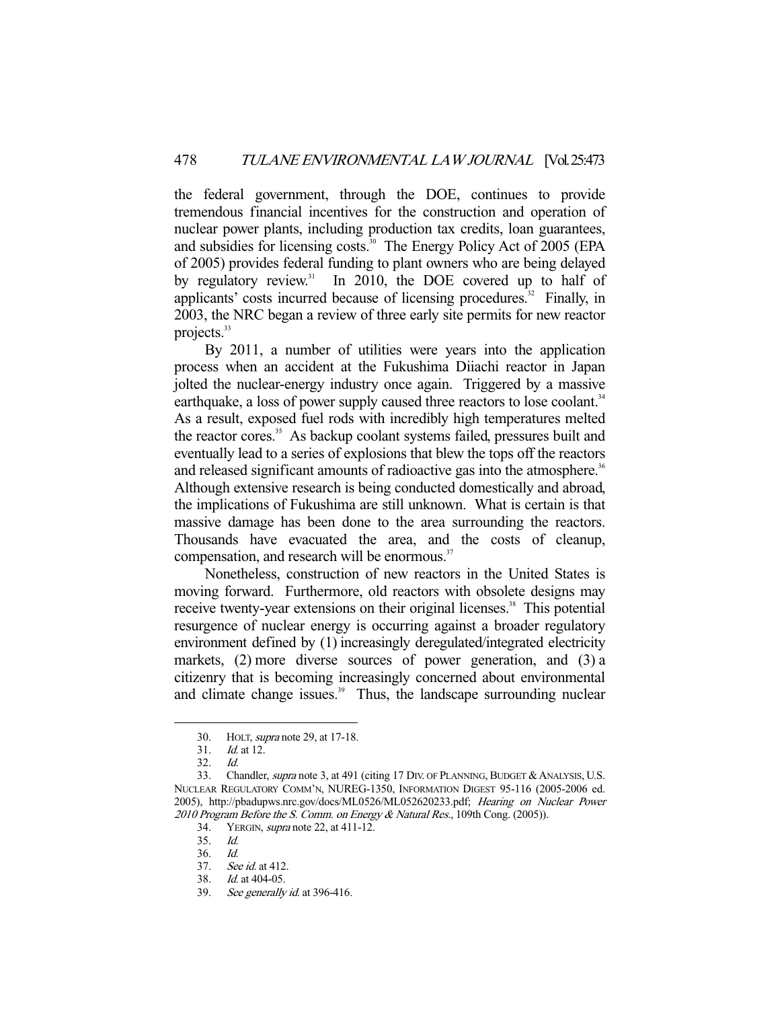the federal government, through the DOE, continues to provide tremendous financial incentives for the construction and operation of nuclear power plants, including production tax credits, loan guarantees, and subsidies for licensing costs.<sup>30</sup> The Energy Policy Act of 2005 (EPA of 2005) provides federal funding to plant owners who are being delayed by regulatory review.<sup>31</sup> In 2010, the DOE covered up to half of applicants' costs incurred because of licensing procedures.<sup>32</sup> Finally, in 2003, the NRC began a review of three early site permits for new reactor projects.<sup>33</sup>

 By 2011, a number of utilities were years into the application process when an accident at the Fukushima Diiachi reactor in Japan jolted the nuclear-energy industry once again. Triggered by a massive earthquake, a loss of power supply caused three reactors to lose coolant.<sup>34</sup> As a result, exposed fuel rods with incredibly high temperatures melted the reactor cores.<sup>35</sup> As backup coolant systems failed, pressures built and eventually lead to a series of explosions that blew the tops off the reactors and released significant amounts of radioactive gas into the atmosphere.<sup>36</sup> Although extensive research is being conducted domestically and abroad, the implications of Fukushima are still unknown. What is certain is that massive damage has been done to the area surrounding the reactors. Thousands have evacuated the area, and the costs of cleanup, compensation, and research will be enormous.<sup>37</sup>

 Nonetheless, construction of new reactors in the United States is moving forward. Furthermore, old reactors with obsolete designs may receive twenty-year extensions on their original licenses.<sup>38</sup> This potential resurgence of nuclear energy is occurring against a broader regulatory environment defined by (1) increasingly deregulated/integrated electricity markets, (2) more diverse sources of power generation, and (3) a citizenry that is becoming increasingly concerned about environmental and climate change issues.<sup>39</sup> Thus, the landscape surrounding nuclear

 <sup>30.</sup> HOLT, supra note 29, at 17-18.

 <sup>31.</sup> Id. at 12.

 <sup>32.</sup> Id.

<sup>33.</sup> Chandler, *supra* note 3, at 491 (citing 17 DIV. OF PLANNING, BUDGET & ANALYSIS, U.S. NUCLEAR REGULATORY COMM'N, NUREG-1350, INFORMATION DIGEST 95-116 (2005-2006 ed. 2005), http://pbadupws.nrc.gov/docs/ML0526/ML052620233.pdf; Hearing on Nuclear Power 2010 Program Before the S. Comm. on Energy & Natural Res., 109th Cong. (2005)).

 <sup>34.</sup> YERGIN, supra note 22, at 411-12.

 <sup>35.</sup> Id.

 <sup>36.</sup> Id.

 <sup>37.</sup> See id. at 412.

 <sup>38.</sup> Id. at 404-05.

 <sup>39.</sup> See generally id. at 396-416.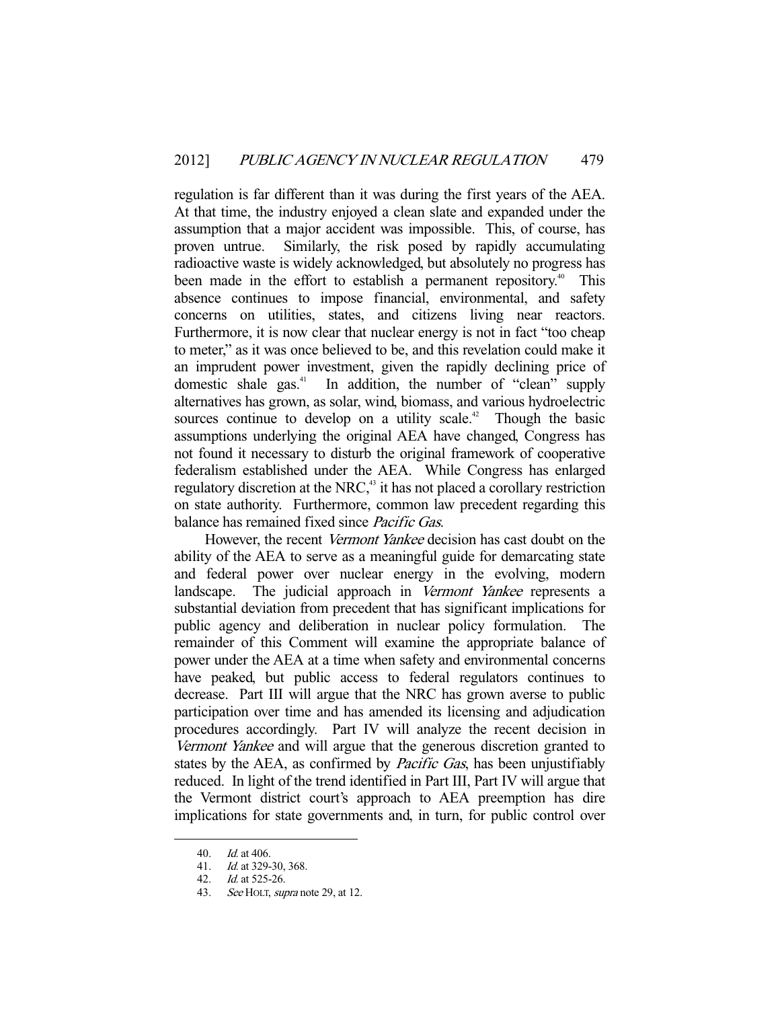regulation is far different than it was during the first years of the AEA. At that time, the industry enjoyed a clean slate and expanded under the assumption that a major accident was impossible. This, of course, has proven untrue. Similarly, the risk posed by rapidly accumulating radioactive waste is widely acknowledged, but absolutely no progress has been made in the effort to establish a permanent repository.<sup>40</sup> This absence continues to impose financial, environmental, and safety concerns on utilities, states, and citizens living near reactors. Furthermore, it is now clear that nuclear energy is not in fact "too cheap to meter," as it was once believed to be, and this revelation could make it an imprudent power investment, given the rapidly declining price of domestic shale gas.<sup>41</sup> In addition, the number of "clean" supply alternatives has grown, as solar, wind, biomass, and various hydroelectric sources continue to develop on a utility scale.<sup>42</sup> Though the basic assumptions underlying the original AEA have changed, Congress has not found it necessary to disturb the original framework of cooperative federalism established under the AEA. While Congress has enlarged regulatory discretion at the NRC,<sup>43</sup> it has not placed a corollary restriction on state authority. Furthermore, common law precedent regarding this balance has remained fixed since *Pacific Gas*.

 However, the recent Vermont Yankee decision has cast doubt on the ability of the AEA to serve as a meaningful guide for demarcating state and federal power over nuclear energy in the evolving, modern landscape. The judicial approach in Vermont Yankee represents a substantial deviation from precedent that has significant implications for public agency and deliberation in nuclear policy formulation. The remainder of this Comment will examine the appropriate balance of power under the AEA at a time when safety and environmental concerns have peaked, but public access to federal regulators continues to decrease. Part III will argue that the NRC has grown averse to public participation over time and has amended its licensing and adjudication procedures accordingly. Part IV will analyze the recent decision in Vermont Yankee and will argue that the generous discretion granted to states by the AEA, as confirmed by *Pacific Gas*, has been unjustifiably reduced. In light of the trend identified in Part III, Part IV will argue that the Vermont district court's approach to AEA preemption has dire implications for state governments and, in turn, for public control over

 <sup>40.</sup> Id. at 406.

 <sup>41.</sup> Id. at 329-30, 368.

 <sup>42.</sup> Id. at 525-26.

<sup>43.</sup> See HOLT, supra note 29, at 12.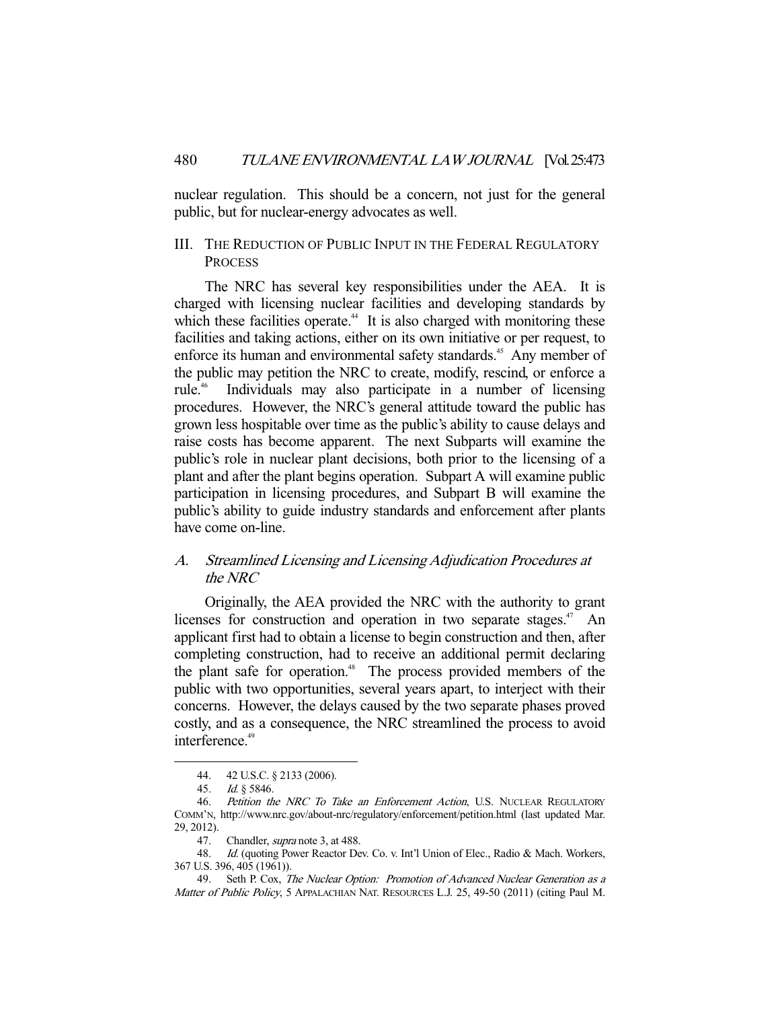nuclear regulation. This should be a concern, not just for the general public, but for nuclear-energy advocates as well.

#### III. THE REDUCTION OF PUBLIC INPUT IN THE FEDERAL REGULATORY **PROCESS**

 The NRC has several key responsibilities under the AEA. It is charged with licensing nuclear facilities and developing standards by which these facilities operate.<sup> $44$ </sup> It is also charged with monitoring these facilities and taking actions, either on its own initiative or per request, to enforce its human and environmental safety standards.<sup>45</sup> Any member of the public may petition the NRC to create, modify, rescind, or enforce a rule.<sup>46</sup> Individuals may also participate in a number of licensing procedures. However, the NRC's general attitude toward the public has grown less hospitable over time as the public's ability to cause delays and raise costs has become apparent. The next Subparts will examine the public's role in nuclear plant decisions, both prior to the licensing of a plant and after the plant begins operation. Subpart A will examine public participation in licensing procedures, and Subpart B will examine the public's ability to guide industry standards and enforcement after plants have come on-line.

## A. Streamlined Licensing and Licensing Adjudication Procedures at the NRC

 Originally, the AEA provided the NRC with the authority to grant licenses for construction and operation in two separate stages. $47$  An applicant first had to obtain a license to begin construction and then, after completing construction, had to receive an additional permit declaring the plant safe for operation.<sup>48</sup> The process provided members of the public with two opportunities, several years apart, to interject with their concerns. However, the delays caused by the two separate phases proved costly, and as a consequence, the NRC streamlined the process to avoid interference.<sup>49</sup>

 <sup>44. 42</sup> U.S.C. § 2133 (2006).

 <sup>45.</sup> Id. § 5846.

<sup>46.</sup> Petition the NRC To Take an Enforcement Action, U.S. NUCLEAR REGULATORY COMM'N, http://www.nrc.gov/about-nrc/regulatory/enforcement/petition.html (last updated Mar. 29, 2012).

<sup>47.</sup> Chandler, *supra* note 3, at 488.

 <sup>48.</sup> Id. (quoting Power Reactor Dev. Co. v. Int'l Union of Elec., Radio & Mach. Workers, 367 U.S. 396, 405 (1961)).

<sup>49.</sup> Seth P. Cox, The Nuclear Option: Promotion of Advanced Nuclear Generation as a Matter of Public Policy, 5 APPALACHIAN NAT. RESOURCES L.J. 25, 49-50 (2011) (citing Paul M.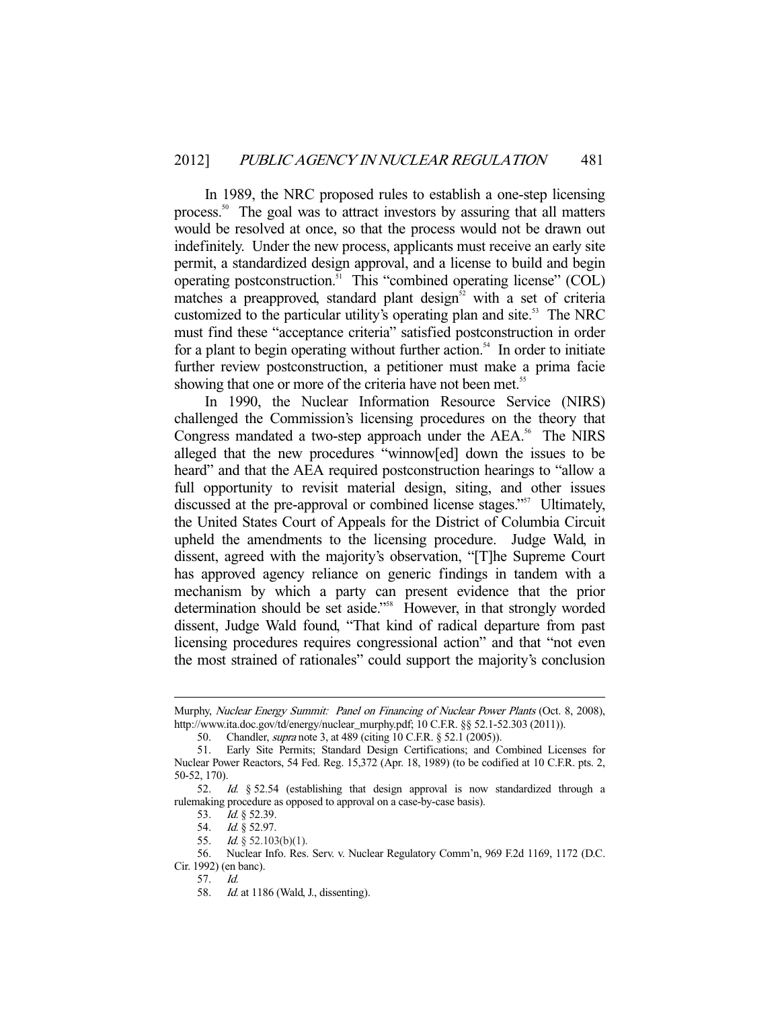In 1989, the NRC proposed rules to establish a one-step licensing process.50 The goal was to attract investors by assuring that all matters would be resolved at once, so that the process would not be drawn out indefinitely. Under the new process, applicants must receive an early site permit, a standardized design approval, and a license to build and begin operating postconstruction.51 This "combined operating license" (COL) matches a preapproved, standard plant design $52$  with a set of criteria customized to the particular utility's operating plan and site. $53$  The NRC must find these "acceptance criteria" satisfied postconstruction in order for a plant to begin operating without further action. $54$  In order to initiate further review postconstruction, a petitioner must make a prima facie showing that one or more of the criteria have not been met.<sup>55</sup>

 In 1990, the Nuclear Information Resource Service (NIRS) challenged the Commission's licensing procedures on the theory that Congress mandated a two-step approach under the AEA.<sup>56</sup> The NIRS alleged that the new procedures "winnow[ed] down the issues to be heard" and that the AEA required postconstruction hearings to "allow a full opportunity to revisit material design, siting, and other issues discussed at the pre-approval or combined license stages."<sup>57</sup> Ultimately, the United States Court of Appeals for the District of Columbia Circuit upheld the amendments to the licensing procedure. Judge Wald, in dissent, agreed with the majority's observation, "[T]he Supreme Court has approved agency reliance on generic findings in tandem with a mechanism by which a party can present evidence that the prior determination should be set aside."<sup>58</sup> However, in that strongly worded dissent, Judge Wald found, "That kind of radical departure from past licensing procedures requires congressional action" and that "not even the most strained of rationales" could support the majority's conclusion

Murphy, Nuclear Energy Summit: Panel on Financing of Nuclear Power Plants (Oct. 8, 2008), http://www.ita.doc.gov/td/energy/nuclear\_murphy.pdf; 10 C.F.R. §§ 52.1-52.303 (2011)).

 <sup>50.</sup> Chandler, supra note 3, at 489 (citing 10 C.F.R. § 52.1 (2005)).

 <sup>51.</sup> Early Site Permits; Standard Design Certifications; and Combined Licenses for Nuclear Power Reactors, 54 Fed. Reg. 15,372 (Apr. 18, 1989) (to be codified at 10 C.F.R. pts. 2, 50-52, 170).

 <sup>52.</sup> Id. § 52.54 (establishing that design approval is now standardized through a rulemaking procedure as opposed to approval on a case-by-case basis).<br>53.  $Id.$  § 52.39.

Id. § 52.39.

<sup>54.</sup> *Id.* § 52.97.

<sup>55.</sup> *Id.* § 52.103(b)(1).

 <sup>56.</sup> Nuclear Info. Res. Serv. v. Nuclear Regulatory Comm'n, 969 F.2d 1169, 1172 (D.C. Cir. 1992) (en banc).

 <sup>57.</sup> Id.

 <sup>58.</sup> Id. at 1186 (Wald, J., dissenting).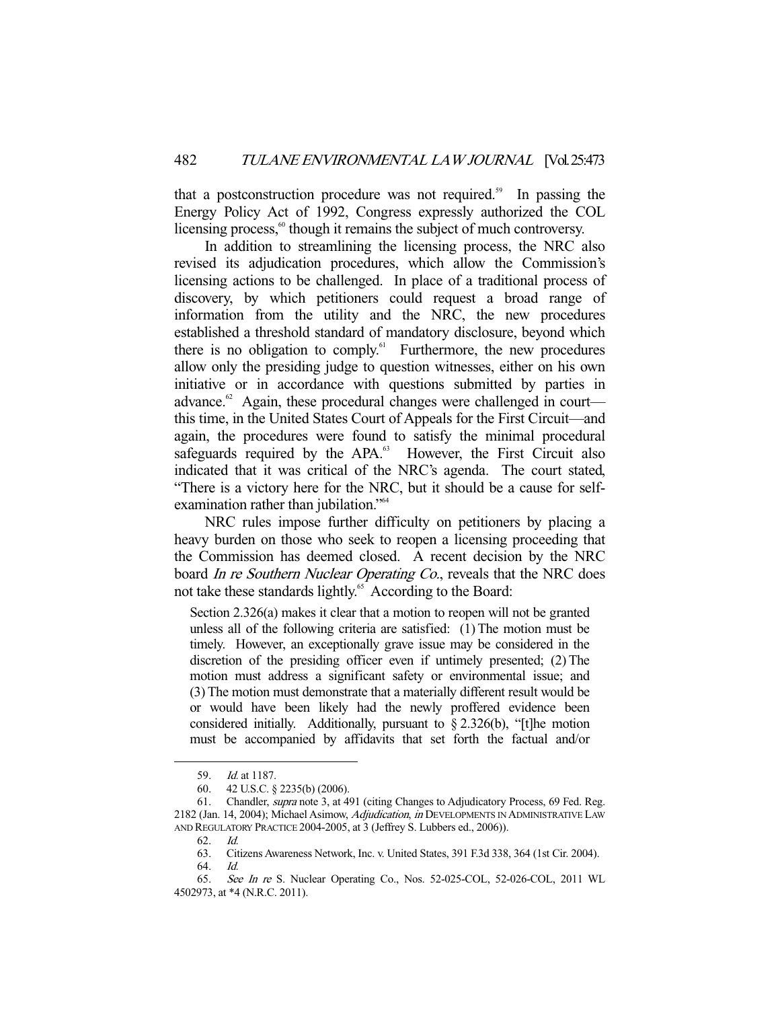that a postconstruction procedure was not required.<sup>59</sup> In passing the Energy Policy Act of 1992, Congress expressly authorized the COL licensing process, $\frac{60}{3}$  though it remains the subject of much controversy.

 In addition to streamlining the licensing process, the NRC also revised its adjudication procedures, which allow the Commission's licensing actions to be challenged. In place of a traditional process of discovery, by which petitioners could request a broad range of information from the utility and the NRC, the new procedures established a threshold standard of mandatory disclosure, beyond which there is no obligation to comply.<sup>61</sup> Furthermore, the new procedures allow only the presiding judge to question witnesses, either on his own initiative or in accordance with questions submitted by parties in advance. $62$  Again, these procedural changes were challenged in court this time, in the United States Court of Appeals for the First Circuit—and again, the procedures were found to satisfy the minimal procedural safeguards required by the APA.<sup>63</sup> However, the First Circuit also indicated that it was critical of the NRC's agenda. The court stated, "There is a victory here for the NRC, but it should be a cause for selfexamination rather than jubilation."<sup>64</sup>

 NRC rules impose further difficulty on petitioners by placing a heavy burden on those who seek to reopen a licensing proceeding that the Commission has deemed closed. A recent decision by the NRC board In re Southern Nuclear Operating Co., reveals that the NRC does not take these standards lightly.<sup>65</sup> According to the Board:

Section 2.326(a) makes it clear that a motion to reopen will not be granted unless all of the following criteria are satisfied: (1) The motion must be timely. However, an exceptionally grave issue may be considered in the discretion of the presiding officer even if untimely presented; (2) The motion must address a significant safety or environmental issue; and (3) The motion must demonstrate that a materially different result would be or would have been likely had the newly proffered evidence been considered initially. Additionally, pursuant to  $\S 2.326(b)$ , "[t]he motion must be accompanied by affidavits that set forth the factual and/or

 <sup>59.</sup> Id. at 1187.

 <sup>60. 42</sup> U.S.C. § 2235(b) (2006).

 <sup>61.</sup> Chandler, supra note 3, at 491 (citing Changes to Adjudicatory Process, 69 Fed. Reg. 2182 (Jan. 14, 2004); Michael Asimow, Adjudication, in DEVELOPMENTS IN ADMINISTRATIVE LAW AND REGULATORY PRACTICE 2004-2005, at 3 (Jeffrey S. Lubbers ed., 2006)).

 <sup>62.</sup> Id.

 <sup>63.</sup> Citizens Awareness Network, Inc. v. United States, 391 F.3d 338, 364 (1st Cir. 2004). 64. Id.

 <sup>65.</sup> See In re S. Nuclear Operating Co., Nos. 52-025-COL, 52-026-COL, 2011 WL 4502973, at \*4 (N.R.C. 2011).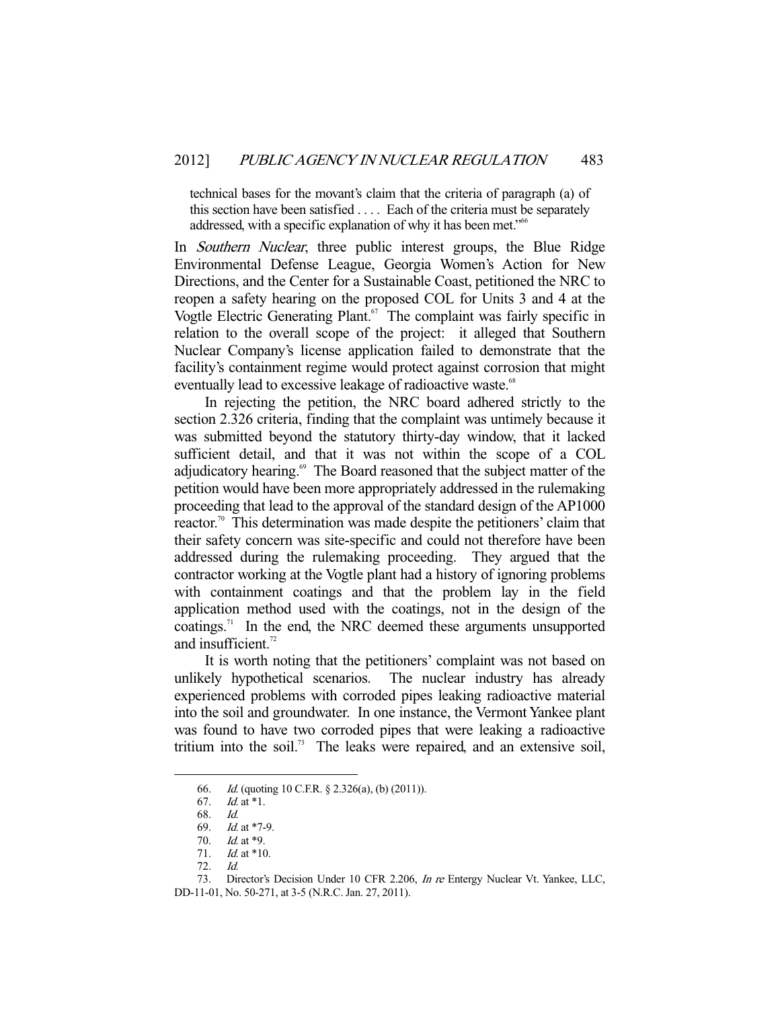technical bases for the movant's claim that the criteria of paragraph (a) of this section have been satisfied . . . . Each of the criteria must be separately addressed, with a specific explanation of why it has been met."<sup>66</sup>

In *Southern Nuclear*, three public interest groups, the Blue Ridge Environmental Defense League, Georgia Women's Action for New Directions, and the Center for a Sustainable Coast, petitioned the NRC to reopen a safety hearing on the proposed COL for Units 3 and 4 at the Vogtle Electric Generating Plant.<sup>67</sup> The complaint was fairly specific in relation to the overall scope of the project: it alleged that Southern Nuclear Company's license application failed to demonstrate that the facility's containment regime would protect against corrosion that might eventually lead to excessive leakage of radioactive waste.<sup>68</sup>

 In rejecting the petition, the NRC board adhered strictly to the section 2.326 criteria, finding that the complaint was untimely because it was submitted beyond the statutory thirty-day window, that it lacked sufficient detail, and that it was not within the scope of a COL adjudicatory hearing.<sup>69</sup> The Board reasoned that the subject matter of the petition would have been more appropriately addressed in the rulemaking proceeding that lead to the approval of the standard design of the AP1000 reactor.<sup>70</sup> This determination was made despite the petitioners' claim that their safety concern was site-specific and could not therefore have been addressed during the rulemaking proceeding. They argued that the contractor working at the Vogtle plant had a history of ignoring problems with containment coatings and that the problem lay in the field application method used with the coatings, not in the design of the coatings. $71$  In the end, the NRC deemed these arguments unsupported and insufficient.<sup>72</sup>

 It is worth noting that the petitioners' complaint was not based on unlikely hypothetical scenarios. The nuclear industry has already experienced problems with corroded pipes leaking radioactive material into the soil and groundwater. In one instance, the Vermont Yankee plant was found to have two corroded pipes that were leaking a radioactive tritium into the soil.<sup>73</sup> The leaks were repaired, and an extensive soil,

 <sup>66.</sup> Id. (quoting 10 C.F.R. § 2.326(a), (b) (2011)).

 <sup>67.</sup> Id. at \*1.

 <sup>68.</sup> Id.

*Id.* at  $*7-9$ .

 <sup>70.</sup> Id. at \*9.

 <sup>71.</sup> Id. at \*10.

 <sup>72.</sup> Id.

 <sup>73.</sup> Director's Decision Under 10 CFR 2.206, In re Entergy Nuclear Vt. Yankee, LLC, DD-11-01, No. 50-271, at 3-5 (N.R.C. Jan. 27, 2011).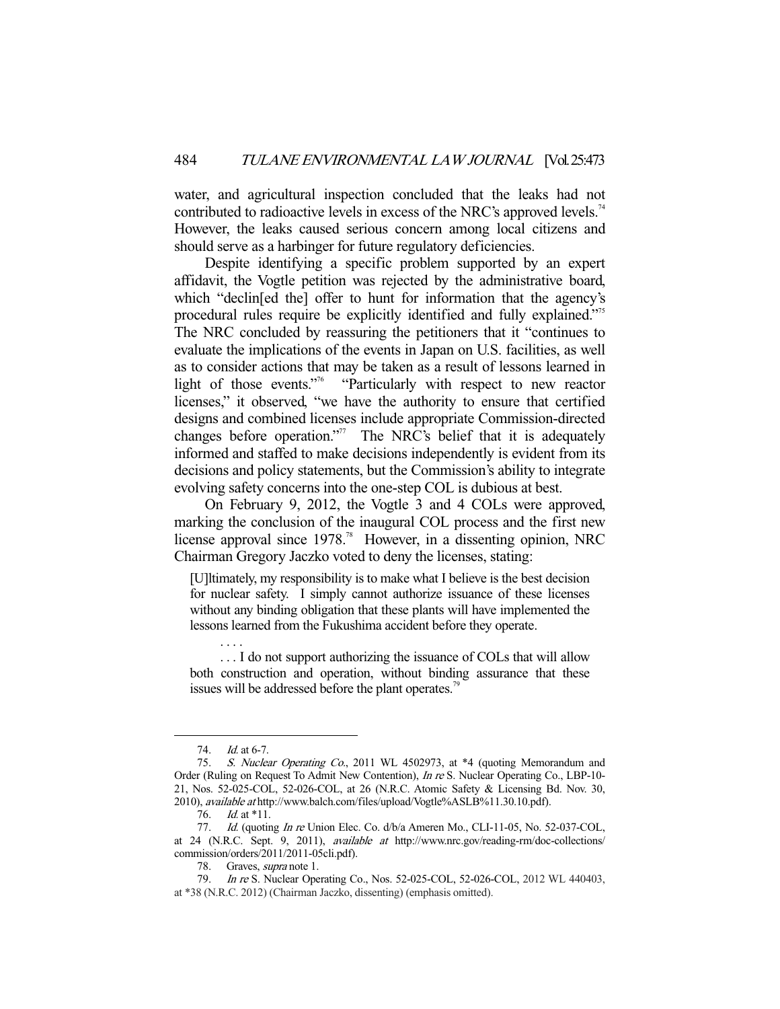water, and agricultural inspection concluded that the leaks had not contributed to radioactive levels in excess of the NRC's approved levels.<sup>74</sup> However, the leaks caused serious concern among local citizens and should serve as a harbinger for future regulatory deficiencies.

 Despite identifying a specific problem supported by an expert affidavit, the Vogtle petition was rejected by the administrative board, which "declin[ed the] offer to hunt for information that the agency's procedural rules require be explicitly identified and fully explained."75 The NRC concluded by reassuring the petitioners that it "continues to evaluate the implications of the events in Japan on U.S. facilities, as well as to consider actions that may be taken as a result of lessons learned in light of those events."76 "Particularly with respect to new reactor licenses," it observed, "we have the authority to ensure that certified designs and combined licenses include appropriate Commission-directed changes before operation."<sup>77</sup> The NRC's belief that it is adequately informed and staffed to make decisions independently is evident from its decisions and policy statements, but the Commission's ability to integrate evolving safety concerns into the one-step COL is dubious at best.

 On February 9, 2012, the Vogtle 3 and 4 COLs were approved, marking the conclusion of the inaugural COL process and the first new license approval since 1978.<sup>78</sup> However, in a dissenting opinion, NRC Chairman Gregory Jaczko voted to deny the licenses, stating:

[U]ltimately, my responsibility is to make what I believe is the best decision for nuclear safety. I simply cannot authorize issuance of these licenses without any binding obligation that these plants will have implemented the lessons learned from the Fukushima accident before they operate.

... I do not support authorizing the issuance of COLs that will allow both construction and operation, without binding assurance that these issues will be addressed before the plant operates.<sup>79</sup>

. . . .

<sup>74.</sup> *Id.* at 6-7.

<sup>75.</sup> S. Nuclear Operating Co., 2011 WL 4502973, at \*4 (quoting Memorandum and Order (Ruling on Request To Admit New Contention), In re S. Nuclear Operating Co., LBP-10- 21, Nos. 52-025-COL, 52-026-COL, at 26 (N.R.C. Atomic Safety & Licensing Bd. Nov. 30, 2010), available at http://www.balch.com/files/upload/Vogtle%ASLB%11.30.10.pdf).

 <sup>76.</sup> Id. at \*11.

<sup>77.</sup> *Id.* (quoting *In re* Union Elec. Co. d/b/a Ameren Mo., CLI-11-05, No. 52-037-COL, at 24 (N.R.C. Sept. 9, 2011), available at http://www.nrc.gov/reading-rm/doc-collections/ commission/orders/2011/2011-05cli.pdf).

 <sup>78.</sup> Graves, supra note 1.

 <sup>79.</sup> In re S. Nuclear Operating Co., Nos. 52-025-COL, 52-026-COL, 2012 WL 440403, at \*38 (N.R.C. 2012) (Chairman Jaczko, dissenting) (emphasis omitted).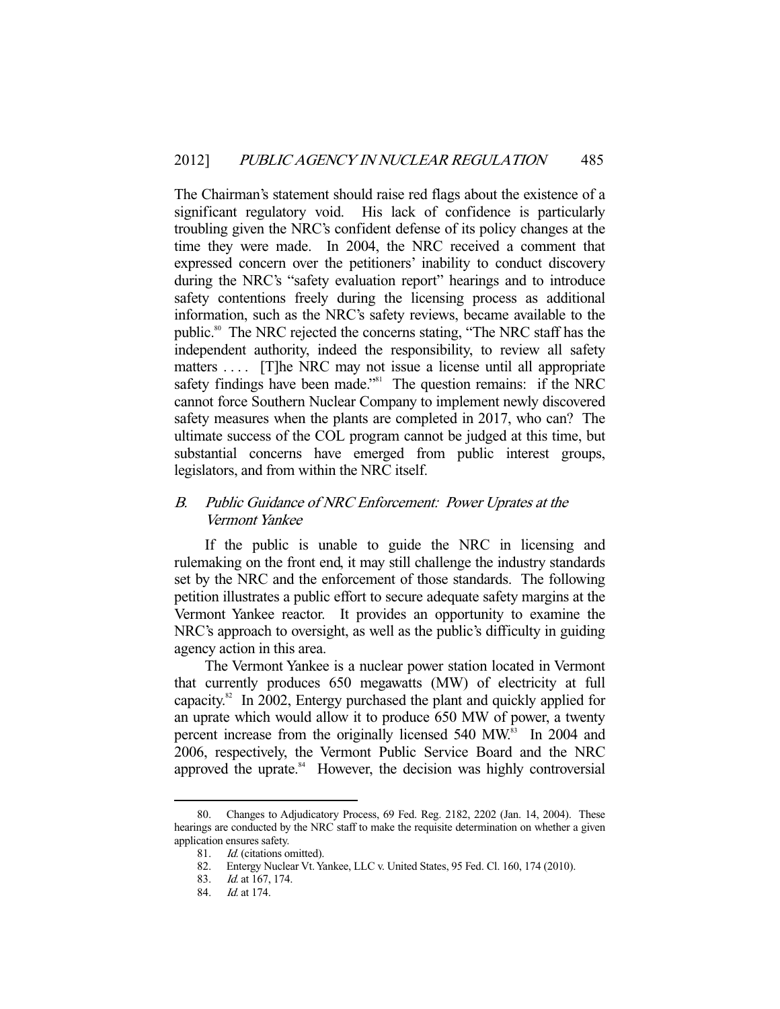The Chairman's statement should raise red flags about the existence of a significant regulatory void. His lack of confidence is particularly troubling given the NRC's confident defense of its policy changes at the time they were made. In 2004, the NRC received a comment that expressed concern over the petitioners' inability to conduct discovery during the NRC's "safety evaluation report" hearings and to introduce safety contentions freely during the licensing process as additional information, such as the NRC's safety reviews, became available to the public.<sup>80</sup> The NRC rejected the concerns stating, "The NRC staff has the independent authority, indeed the responsibility, to review all safety matters .... [T]he NRC may not issue a license until all appropriate safety findings have been made."<sup>81</sup> The question remains: if the NRC cannot force Southern Nuclear Company to implement newly discovered safety measures when the plants are completed in 2017, who can? The ultimate success of the COL program cannot be judged at this time, but substantial concerns have emerged from public interest groups, legislators, and from within the NRC itself.

## B. Public Guidance of NRC Enforcement: Power Uprates at the Vermont Yankee

 If the public is unable to guide the NRC in licensing and rulemaking on the front end, it may still challenge the industry standards set by the NRC and the enforcement of those standards. The following petition illustrates a public effort to secure adequate safety margins at the Vermont Yankee reactor. It provides an opportunity to examine the NRC's approach to oversight, as well as the public's difficulty in guiding agency action in this area.

 The Vermont Yankee is a nuclear power station located in Vermont that currently produces 650 megawatts (MW) of electricity at full capacity.82 In 2002, Entergy purchased the plant and quickly applied for an uprate which would allow it to produce 650 MW of power, a twenty percent increase from the originally licensed 540 MW.<sup>83</sup> In 2004 and 2006, respectively, the Vermont Public Service Board and the NRC approved the uprate.<sup>84</sup> However, the decision was highly controversial

 <sup>80.</sup> Changes to Adjudicatory Process, 69 Fed. Reg. 2182, 2202 (Jan. 14, 2004). These hearings are conducted by the NRC staff to make the requisite determination on whether a given application ensures safety.

<sup>81.</sup> *Id.* (citations omitted).

 <sup>82.</sup> Entergy Nuclear Vt. Yankee, LLC v. United States, 95 Fed. Cl. 160, 174 (2010).

 <sup>83.</sup> Id. at 167, 174.

 <sup>84.</sup> Id. at 174.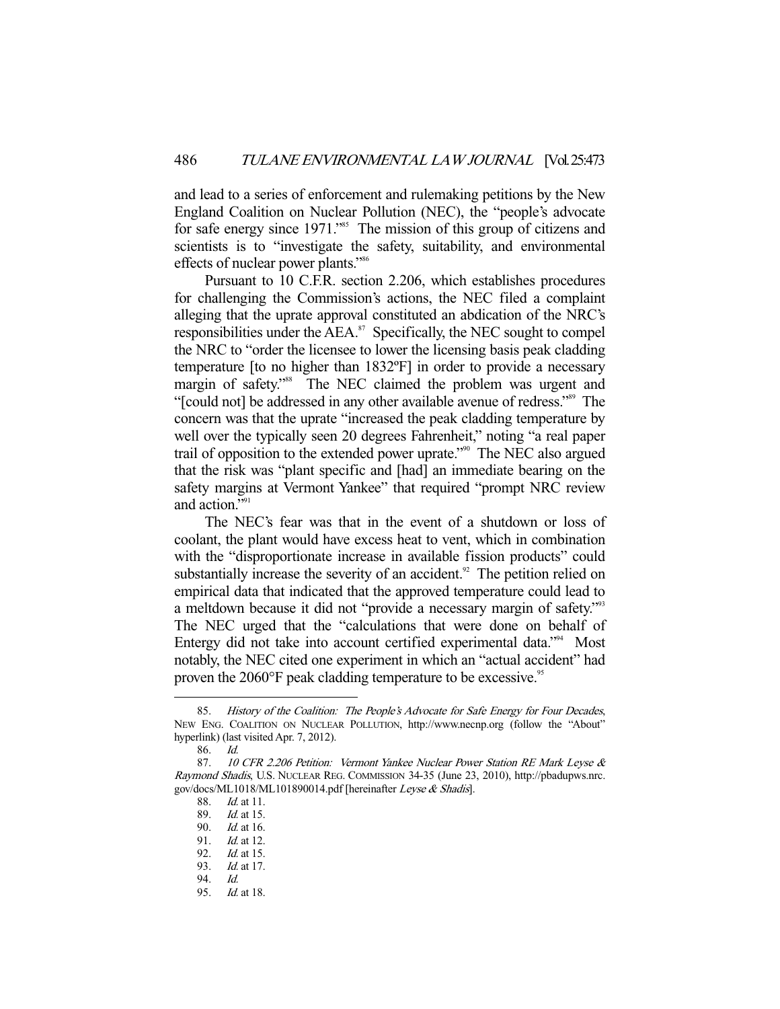and lead to a series of enforcement and rulemaking petitions by the New England Coalition on Nuclear Pollution (NEC), the "people's advocate for safe energy since 1971."<sup>85</sup> The mission of this group of citizens and scientists is to "investigate the safety, suitability, and environmental effects of nuclear power plants."<sup>86</sup>

 Pursuant to 10 C.F.R. section 2.206, which establishes procedures for challenging the Commission's actions, the NEC filed a complaint alleging that the uprate approval constituted an abdication of the NRC's responsibilities under the  $AEA$ <sup>87</sup> Specifically, the NEC sought to compel the NRC to "order the licensee to lower the licensing basis peak cladding temperature [to no higher than 1832ºF] in order to provide a necessary margin of safety."<sup>88</sup> The NEC claimed the problem was urgent and "[could not] be addressed in any other available avenue of redress."89 The concern was that the uprate "increased the peak cladding temperature by well over the typically seen 20 degrees Fahrenheit," noting "a real paper trail of opposition to the extended power uprate."<sup>90</sup> The NEC also argued that the risk was "plant specific and [had] an immediate bearing on the safety margins at Vermont Yankee" that required "prompt NRC review and action."<sup>91</sup>

 The NEC's fear was that in the event of a shutdown or loss of coolant, the plant would have excess heat to vent, which in combination with the "disproportionate increase in available fission products" could substantially increase the severity of an accident.<sup>92</sup> The petition relied on empirical data that indicated that the approved temperature could lead to a meltdown because it did not "provide a necessary margin of safety."<sup>93</sup> The NEC urged that the "calculations that were done on behalf of Entergy did not take into account certified experimental data."<sup>94</sup> Most notably, the NEC cited one experiment in which an "actual accident" had proven the 2060°F peak cladding temperature to be excessive.<sup>95</sup>

<sup>85.</sup> History of the Coalition: The People's Advocate for Safe Energy for Four Decades, NEW ENG. COALITION ON NUCLEAR POLLUTION, http://www.necnp.org (follow the "About" hyperlink) (last visited Apr. 7, 2012).

 <sup>86.</sup> Id.

<sup>87. 10</sup> CFR 2.206 Petition: Vermont Yankee Nuclear Power Station RE Mark Leyse & Raymond Shadis, U.S. NUCLEAR REG. COMMISSION 34-35 (June 23, 2010), http://pbadupws.nrc. gov/docs/ML1018/ML101890014.pdf [hereinafter Leyse & Shadis].

 <sup>88.</sup> Id. at 11.

 <sup>89.</sup> Id. at 15.

 <sup>90.</sup> Id. at 16.

<sup>91.</sup> *Id.* at 12.<br>92. *Id.* at 15. *Id.* at 15.

 <sup>93.</sup> Id. at 17.

 <sup>94.</sup> Id.

 <sup>95.</sup> Id. at 18.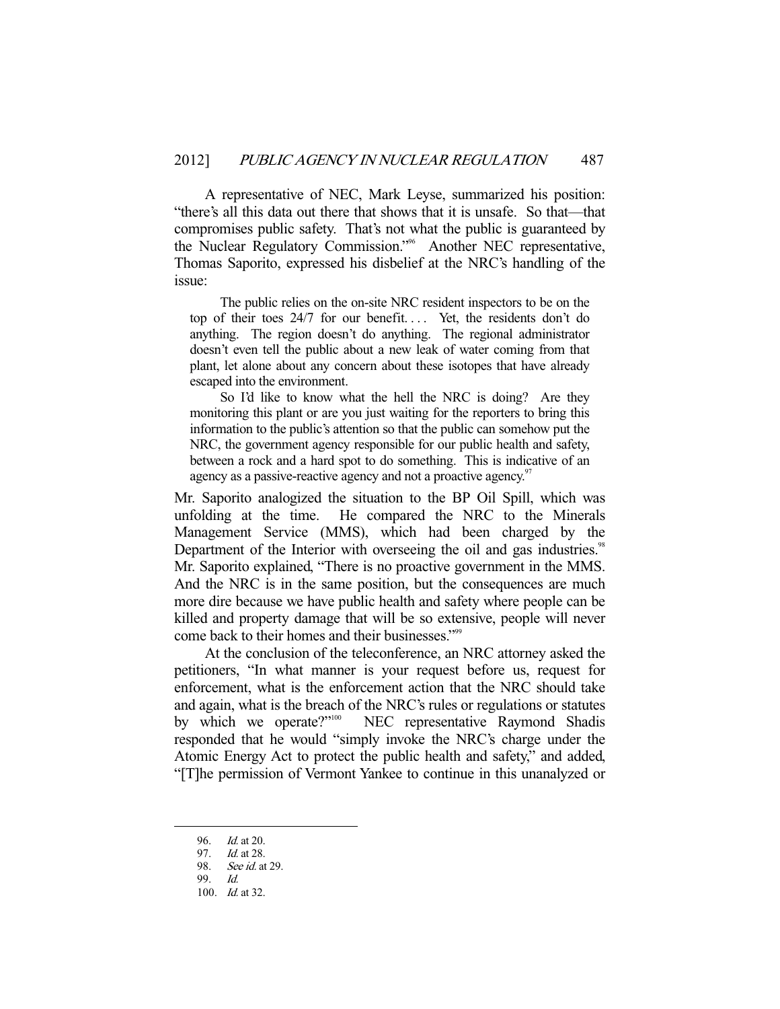A representative of NEC, Mark Leyse, summarized his position: "there's all this data out there that shows that it is unsafe. So that—that compromises public safety. That's not what the public is guaranteed by the Nuclear Regulatory Commission."96 Another NEC representative, Thomas Saporito, expressed his disbelief at the NRC's handling of the issue:

 The public relies on the on-site NRC resident inspectors to be on the top of their toes 24/7 for our benefit. . . . Yet, the residents don't do anything. The region doesn't do anything. The regional administrator doesn't even tell the public about a new leak of water coming from that plant, let alone about any concern about these isotopes that have already escaped into the environment.

 So I'd like to know what the hell the NRC is doing? Are they monitoring this plant or are you just waiting for the reporters to bring this information to the public's attention so that the public can somehow put the NRC, the government agency responsible for our public health and safety, between a rock and a hard spot to do something. This is indicative of an agency as a passive-reactive agency and not a proactive agency.<sup>97</sup>

Mr. Saporito analogized the situation to the BP Oil Spill, which was unfolding at the time. He compared the NRC to the Minerals Management Service (MMS), which had been charged by the Department of the Interior with overseeing the oil and gas industries.<sup>98</sup> Mr. Saporito explained, "There is no proactive government in the MMS. And the NRC is in the same position, but the consequences are much more dire because we have public health and safety where people can be killed and property damage that will be so extensive, people will never come back to their homes and their businesses."<sup>99</sup>

 At the conclusion of the teleconference, an NRC attorney asked the petitioners, "In what manner is your request before us, request for enforcement, what is the enforcement action that the NRC should take and again, what is the breach of the NRC's rules or regulations or statutes by which we operate?"<sup>100</sup> NEC representative Raymond Shadis responded that he would "simply invoke the NRC's charge under the Atomic Energy Act to protect the public health and safety," and added, "[T]he permission of Vermont Yankee to continue in this unanalyzed or

<sup>96.</sup> *Id.* at 20.<br>97. *Id.* at 28.

Id. at 28.

 <sup>98.</sup> See id. at 29.

 <sup>99.</sup> Id.

<sup>100.</sup> *Id.* at 32.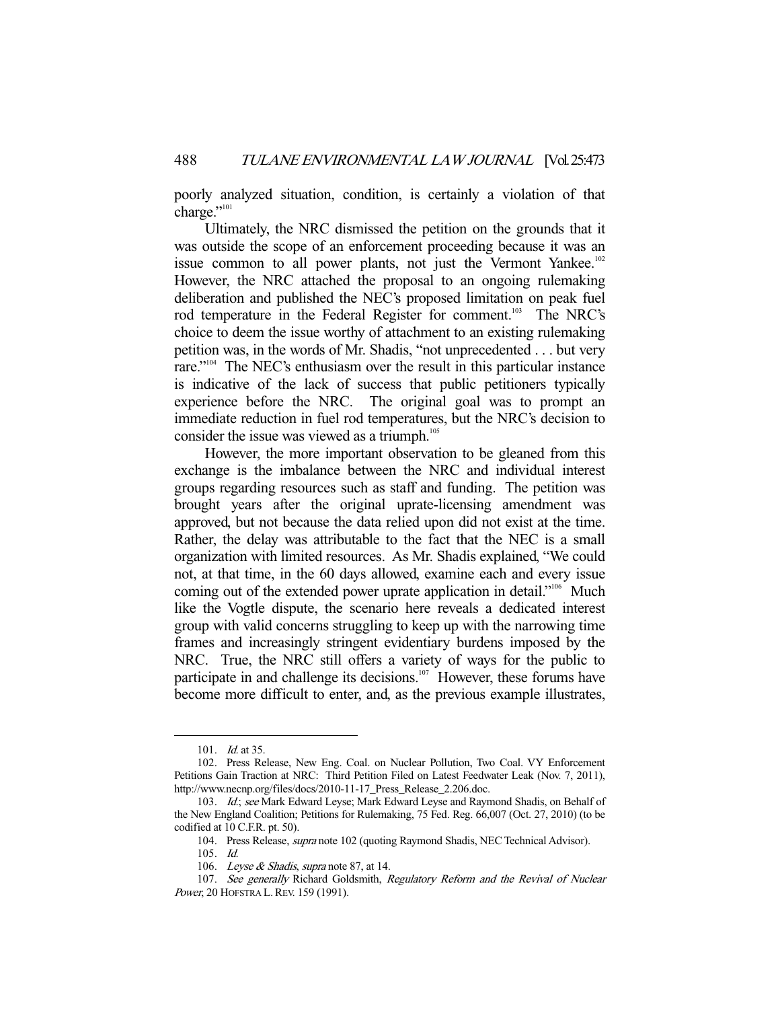poorly analyzed situation, condition, is certainly a violation of that charge."101

 Ultimately, the NRC dismissed the petition on the grounds that it was outside the scope of an enforcement proceeding because it was an issue common to all power plants, not just the Vermont Yankee.<sup>102</sup> However, the NRC attached the proposal to an ongoing rulemaking deliberation and published the NEC's proposed limitation on peak fuel rod temperature in the Federal Register for comment.<sup>103</sup> The NRC's choice to deem the issue worthy of attachment to an existing rulemaking petition was, in the words of Mr. Shadis, "not unprecedented . . . but very rare."104 The NEC's enthusiasm over the result in this particular instance is indicative of the lack of success that public petitioners typically experience before the NRC. The original goal was to prompt an immediate reduction in fuel rod temperatures, but the NRC's decision to consider the issue was viewed as a triumph.<sup>105</sup>

 However, the more important observation to be gleaned from this exchange is the imbalance between the NRC and individual interest groups regarding resources such as staff and funding. The petition was brought years after the original uprate-licensing amendment was approved, but not because the data relied upon did not exist at the time. Rather, the delay was attributable to the fact that the NEC is a small organization with limited resources. As Mr. Shadis explained, "We could not, at that time, in the 60 days allowed, examine each and every issue coming out of the extended power uprate application in detail."<sup>106</sup> Much like the Vogtle dispute, the scenario here reveals a dedicated interest group with valid concerns struggling to keep up with the narrowing time frames and increasingly stringent evidentiary burdens imposed by the NRC. True, the NRC still offers a variety of ways for the public to participate in and challenge its decisions.<sup>107</sup> However, these forums have become more difficult to enter, and, as the previous example illustrates,

<sup>101.</sup> *Id.* at 35.

 <sup>102.</sup> Press Release, New Eng. Coal. on Nuclear Pollution, Two Coal. VY Enforcement Petitions Gain Traction at NRC: Third Petition Filed on Latest Feedwater Leak (Nov. 7, 2011), http://www.necnp.org/files/docs/2010-11-17\_Press\_Release\_2.206.doc.

<sup>103.</sup> Id: see Mark Edward Leyse; Mark Edward Leyse and Raymond Shadis, on Behalf of the New England Coalition; Petitions for Rulemaking, 75 Fed. Reg. 66,007 (Oct. 27, 2010) (to be codified at 10 C.F.R. pt. 50).

<sup>104.</sup> Press Release, *supra* note 102 (quoting Raymond Shadis, NEC Technical Advisor).

 <sup>105.</sup> Id.

<sup>106.</sup> Leyse & Shadis, supra note 87, at 14.

<sup>107.</sup> See generally Richard Goldsmith, Regulatory Reform and the Revival of Nuclear Power, 20 HOFSTRA L.REV. 159 (1991).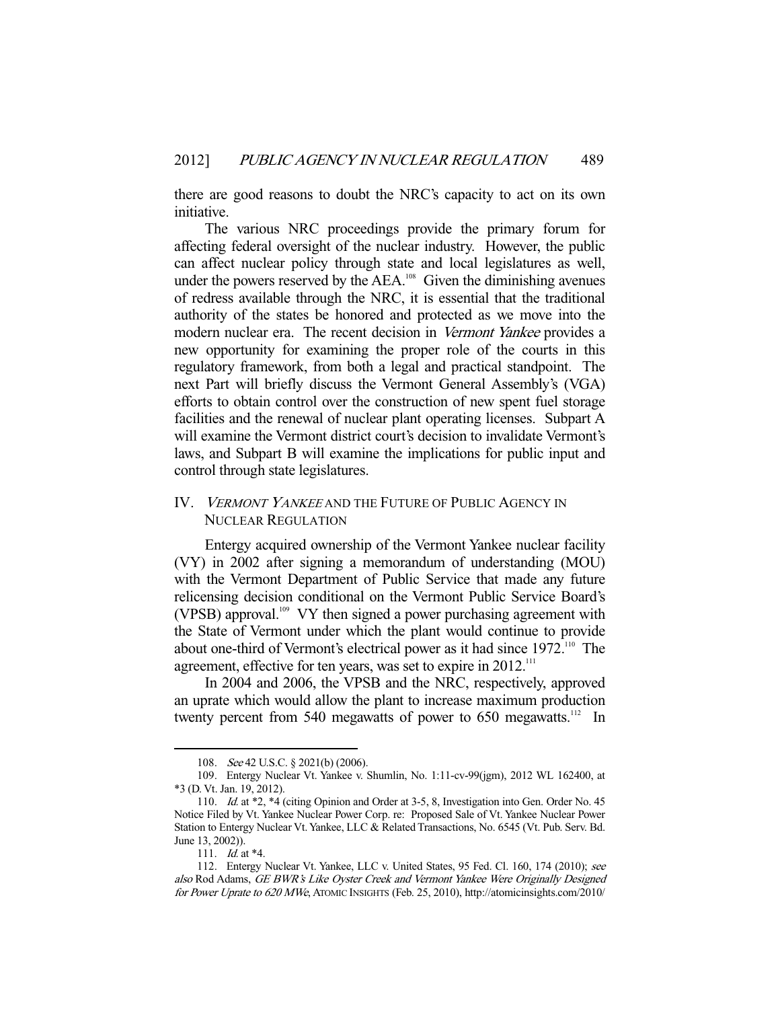there are good reasons to doubt the NRC's capacity to act on its own initiative.

 The various NRC proceedings provide the primary forum for affecting federal oversight of the nuclear industry. However, the public can affect nuclear policy through state and local legislatures as well, under the powers reserved by the  $AEA$ <sup>108</sup> Given the diminishing avenues of redress available through the NRC, it is essential that the traditional authority of the states be honored and protected as we move into the modern nuclear era. The recent decision in *Vermont Yankee* provides a new opportunity for examining the proper role of the courts in this regulatory framework, from both a legal and practical standpoint. The next Part will briefly discuss the Vermont General Assembly's (VGA) efforts to obtain control over the construction of new spent fuel storage facilities and the renewal of nuclear plant operating licenses. Subpart A will examine the Vermont district court's decision to invalidate Vermont's laws, and Subpart B will examine the implications for public input and control through state legislatures.

#### IV. VERMONT YANKEE AND THE FUTURE OF PUBLIC AGENCY IN NUCLEAR REGULATION

 Entergy acquired ownership of the Vermont Yankee nuclear facility (VY) in 2002 after signing a memorandum of understanding (MOU) with the Vermont Department of Public Service that made any future relicensing decision conditional on the Vermont Public Service Board's (VPSB) approval.<sup>109</sup> VY then signed a power purchasing agreement with the State of Vermont under which the plant would continue to provide about one-third of Vermont's electrical power as it had since 1972.<sup>110</sup> The agreement, effective for ten years, was set to expire in 2012.<sup>111</sup>

 In 2004 and 2006, the VPSB and the NRC, respectively, approved an uprate which would allow the plant to increase maximum production twenty percent from 540 megawatts of power to 650 megawatts.<sup>112</sup> In

<sup>108.</sup> See 42 U.S.C. § 2021(b) (2006).

 <sup>109.</sup> Entergy Nuclear Vt. Yankee v. Shumlin, No. 1:11-cv-99(jgm), 2012 WL 162400, at \*3 (D. Vt. Jan. 19, 2012).

<sup>110.</sup> *Id.* at \*2, \*4 (citing Opinion and Order at 3-5, 8, Investigation into Gen. Order No. 45 Notice Filed by Vt. Yankee Nuclear Power Corp. re: Proposed Sale of Vt. Yankee Nuclear Power Station to Entergy Nuclear Vt. Yankee, LLC & Related Transactions, No. 6545 (Vt. Pub. Serv. Bd. June 13, 2002)).

<sup>111.</sup> *Id.* at \*4.

 <sup>112.</sup> Entergy Nuclear Vt. Yankee, LLC v. United States, 95 Fed. Cl. 160, 174 (2010); see also Rod Adams, GE BWR's Like Oyster Creek and Vermont Yankee Were Originally Designed for Power Uprate to 620 MWe, ATOMIC INSIGHTS (Feb. 25, 2010), http://atomicinsights.com/2010/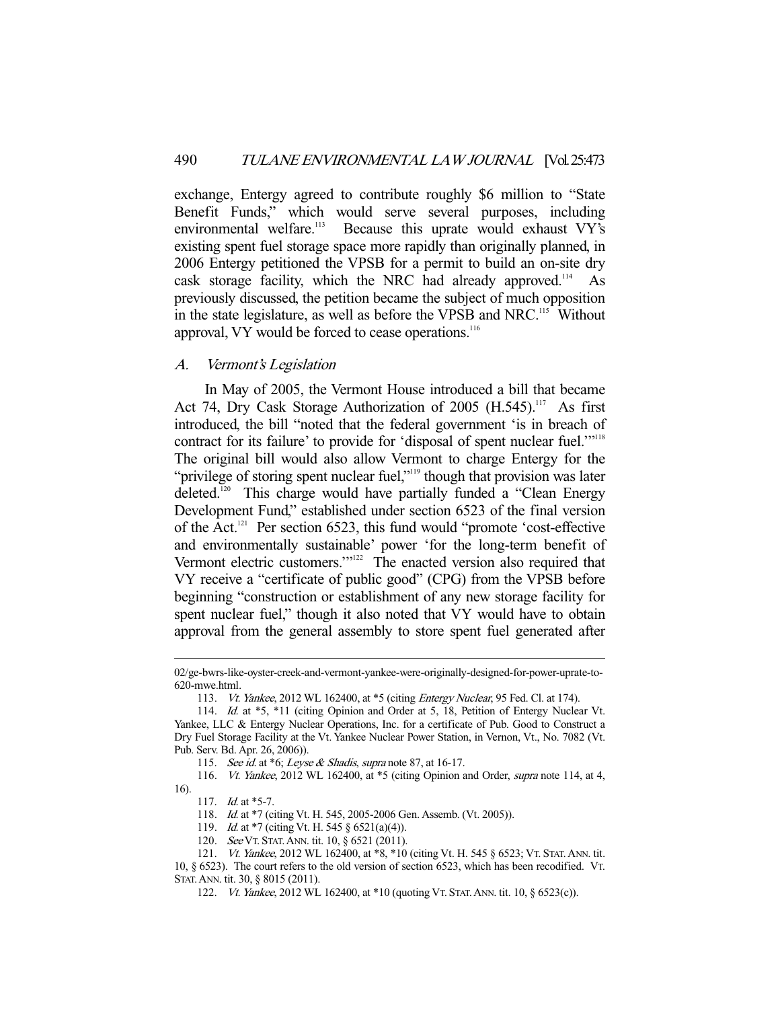exchange, Entergy agreed to contribute roughly \$6 million to "State Benefit Funds," which would serve several purposes, including<br>environmental welfare.<sup>113</sup> Because this uprate would exhaust VY's Because this uprate would exhaust VY's existing spent fuel storage space more rapidly than originally planned, in 2006 Entergy petitioned the VPSB for a permit to build an on-site dry cask storage facility, which the NRC had already approved.<sup>114</sup> As previously discussed, the petition became the subject of much opposition in the state legislature, as well as before the VPSB and NRC.<sup>115</sup> Without approval, VY would be forced to cease operations.<sup>116</sup>

#### A. Vermont's Legislation

 In May of 2005, the Vermont House introduced a bill that became Act 74, Dry Cask Storage Authorization of 2005 (H.545).<sup>117</sup> As first introduced, the bill "noted that the federal government 'is in breach of contract for its failure' to provide for 'disposal of spent nuclear fuel."<sup>118</sup> The original bill would also allow Vermont to charge Entergy for the "privilege of storing spent nuclear fuel,"<sup>119</sup> though that provision was later deleted.<sup>120</sup> This charge would have partially funded a "Clean Energy" Development Fund," established under section 6523 of the final version of the Act.121 Per section 6523, this fund would "promote 'cost-effective and environmentally sustainable' power 'for the long-term benefit of Vermont electric customers."<sup>122</sup> The enacted version also required that VY receive a "certificate of public good" (CPG) from the VPSB before beginning "construction or establishment of any new storage facility for spent nuclear fuel," though it also noted that VY would have to obtain approval from the general assembly to store spent fuel generated after

<sup>02/</sup>ge-bwrs-like-oyster-creek-and-vermont-yankee-were-originally-designed-for-power-uprate-to-620-mwe.html.

 <sup>113.</sup> Vt. Yankee, 2012 WL 162400, at \*5 (citing Entergy Nuclear, 95 Fed. Cl. at 174).

<sup>114.</sup> Id. at \*5, \*11 (citing Opinion and Order at 5, 18, Petition of Entergy Nuclear Vt. Yankee, LLC & Entergy Nuclear Operations, Inc. for a certificate of Pub. Good to Construct a Dry Fuel Storage Facility at the Vt. Yankee Nuclear Power Station, in Vernon, Vt., No. 7082 (Vt. Pub. Serv. Bd. Apr. 26, 2006)).

<sup>115.</sup> See id. at \*6; Leyse & Shadis, supra note 87, at 16-17.

<sup>116.</sup> *Vt. Yankee*, 2012 WL 162400, at \*5 (citing Opinion and Order, *supra* note 114, at 4, 16).

<sup>117.</sup> *Id.* at \*5-7.

 <sup>118.</sup> Id. at \*7 (citing Vt. H. 545, 2005-2006 Gen. Assemb. (Vt. 2005)).

<sup>119.</sup> *Id.* at \*7 (citing Vt. H. 545 § 6521(a)(4)).

 <sup>120.</sup> See VT. STAT.ANN. tit. 10, § 6521 (2011).

<sup>121.</sup> *Vt. Yankee*, 2012 WL 162400, at \*8, \*10 (citing Vt. H. 545 § 6523; VT. STAT. ANN. tit.

<sup>10, § 6523).</sup> The court refers to the old version of section 6523, which has been recodified. VT. STAT.ANN. tit. 30, § 8015 (2011).

 <sup>122.</sup> Vt. Yankee, 2012 WL 162400, at \*10 (quoting VT. STAT.ANN. tit. 10, § 6523(c)).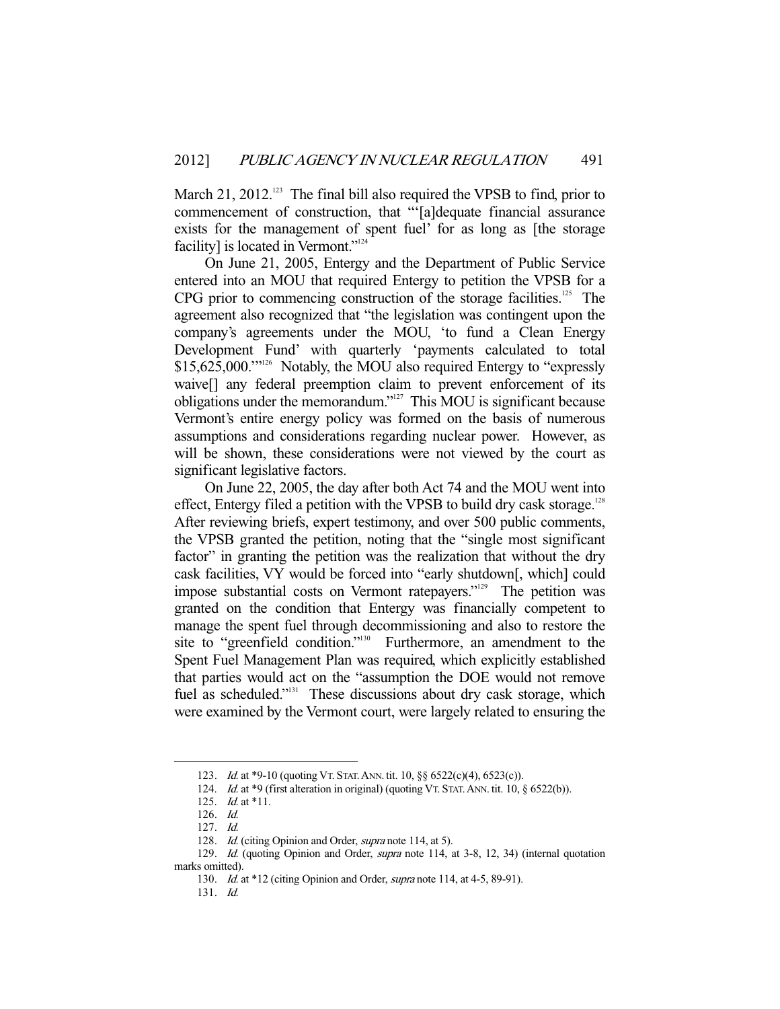March 21, 2012.<sup>123</sup> The final bill also required the VPSB to find, prior to commencement of construction, that "'[a]dequate financial assurance exists for the management of spent fuel' for as long as [the storage facility] is located in Vermont."<sup>124</sup>

 On June 21, 2005, Entergy and the Department of Public Service entered into an MOU that required Entergy to petition the VPSB for a CPG prior to commencing construction of the storage facilities.<sup>125</sup> The agreement also recognized that "the legislation was contingent upon the company's agreements under the MOU, 'to fund a Clean Energy Development Fund' with quarterly 'payments calculated to total \$15,625,000."<sup>126</sup> Notably, the MOU also required Entergy to "expressly" waive[] any federal preemption claim to prevent enforcement of its obligations under the memorandum."127 This MOU is significant because Vermont's entire energy policy was formed on the basis of numerous assumptions and considerations regarding nuclear power. However, as will be shown, these considerations were not viewed by the court as significant legislative factors.

 On June 22, 2005, the day after both Act 74 and the MOU went into effect, Entergy filed a petition with the VPSB to build dry cask storage.<sup>128</sup> After reviewing briefs, expert testimony, and over 500 public comments, the VPSB granted the petition, noting that the "single most significant factor" in granting the petition was the realization that without the dry cask facilities, VY would be forced into "early shutdown[, which] could impose substantial costs on Vermont ratepayers."<sup>129</sup> The petition was granted on the condition that Entergy was financially competent to manage the spent fuel through decommissioning and also to restore the site to "greenfield condition."<sup>130</sup> Furthermore, an amendment to the Spent Fuel Management Plan was required, which explicitly established that parties would act on the "assumption the DOE would not remove fuel as scheduled."<sup>131</sup> These discussions about dry cask storage, which were examined by the Vermont court, were largely related to ensuring the

<sup>123.</sup> *Id.* at \*9-10 (quoting VT. STAT. ANN. tit. 10, §§ 6522(c)(4), 6523(c)).

<sup>124.</sup> *Id.* at \*9 (first alteration in original) (quoting VT. STAT. ANN. tit. 10, § 6522(b)).

 <sup>125.</sup> Id. at \*11.

 <sup>126.</sup> Id.

 <sup>127.</sup> Id.

<sup>128.</sup> Id. (citing Opinion and Order, *supra* note 114, at 5).

<sup>129.</sup> Id. (quoting Opinion and Order, *supra* note 114, at 3-8, 12, 34) (internal quotation marks omitted).

<sup>130.</sup> *Id.* at \*12 (citing Opinion and Order, *supra* note 114, at 4-5, 89-91).

 <sup>131.</sup> Id.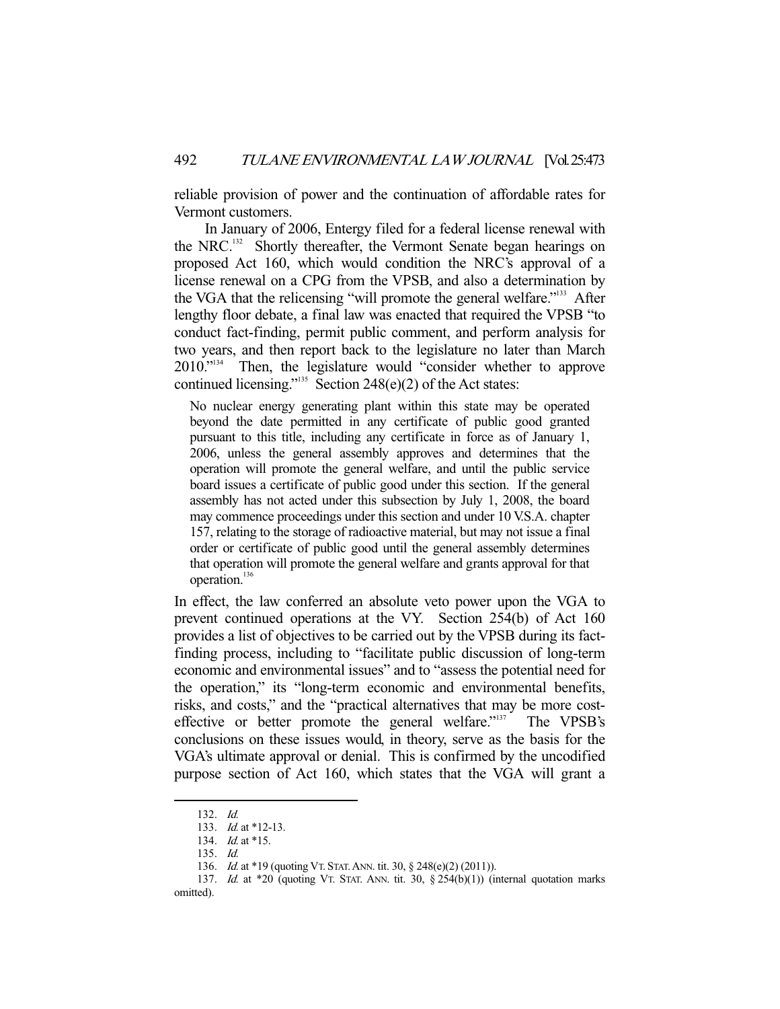reliable provision of power and the continuation of affordable rates for Vermont customers.

 In January of 2006, Entergy filed for a federal license renewal with the NRC.132 Shortly thereafter, the Vermont Senate began hearings on proposed Act 160, which would condition the NRC's approval of a license renewal on a CPG from the VPSB, and also a determination by the VGA that the relicensing "will promote the general welfare."133 After lengthy floor debate, a final law was enacted that required the VPSB "to conduct fact-finding, permit public comment, and perform analysis for two years, and then report back to the legislature no later than March 2010."134 Then, the legislature would "consider whether to approve continued licensing."<sup>135</sup> Section 248(e)(2) of the Act states:

No nuclear energy generating plant within this state may be operated beyond the date permitted in any certificate of public good granted pursuant to this title, including any certificate in force as of January 1, 2006, unless the general assembly approves and determines that the operation will promote the general welfare, and until the public service board issues a certificate of public good under this section. If the general assembly has not acted under this subsection by July 1, 2008, the board may commence proceedings under this section and under 10 V.S.A. chapter 157, relating to the storage of radioactive material, but may not issue a final order or certificate of public good until the general assembly determines that operation will promote the general welfare and grants approval for that operation.<sup>136</sup>

In effect, the law conferred an absolute veto power upon the VGA to prevent continued operations at the VY. Section 254(b) of Act 160 provides a list of objectives to be carried out by the VPSB during its factfinding process, including to "facilitate public discussion of long-term economic and environmental issues" and to "assess the potential need for the operation," its "long-term economic and environmental benefits, risks, and costs," and the "practical alternatives that may be more costeffective or better promote the general welfare."137 The VPSB's conclusions on these issues would, in theory, serve as the basis for the VGA's ultimate approval or denial. This is confirmed by the uncodified purpose section of Act 160, which states that the VGA will grant a

 <sup>132.</sup> Id.

 <sup>133.</sup> Id. at \*12-13.

<sup>134.</sup> *Id.* at \*15.

 <sup>135.</sup> Id.

<sup>136.</sup> *Id.* at \*19 (quoting VT. STAT. ANN. tit. 30, § 248(e)(2) (2011)).

<sup>137.</sup> Id. at  $*20$  (quoting VT. STAT. ANN. tit. 30,  $\S 254(b)(1)$ ) (internal quotation marks omitted).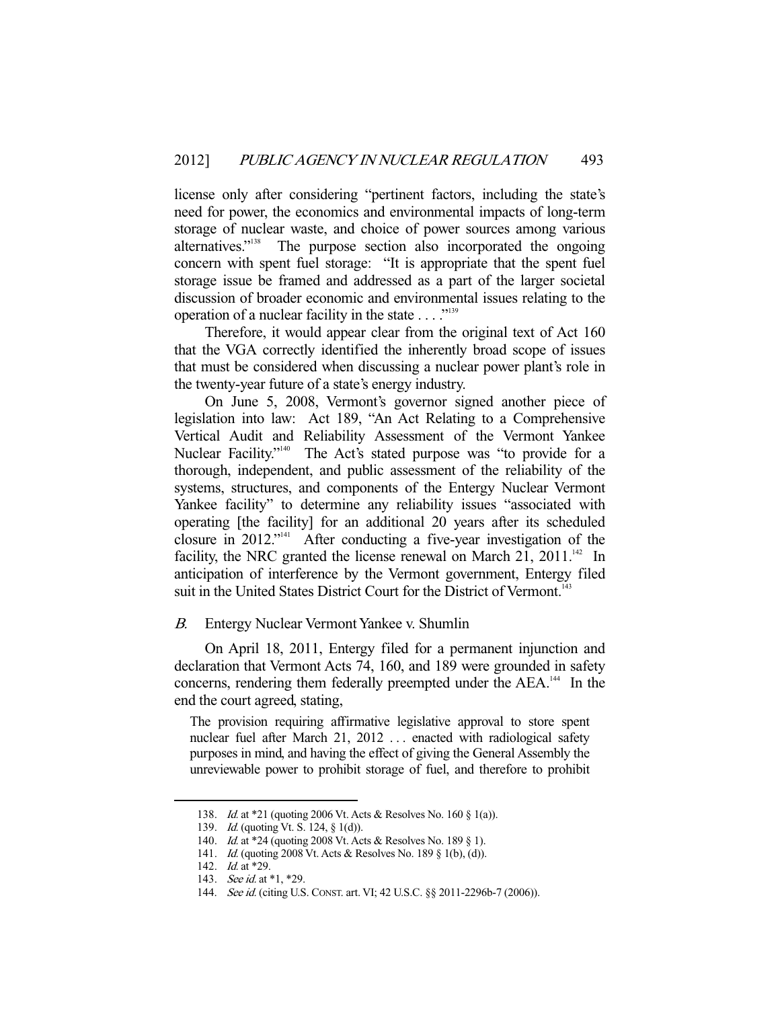license only after considering "pertinent factors, including the state's need for power, the economics and environmental impacts of long-term storage of nuclear waste, and choice of power sources among various alternatives."<sup>138</sup> The purpose section also incorporated the ongoing The purpose section also incorporated the ongoing concern with spent fuel storage: "It is appropriate that the spent fuel storage issue be framed and addressed as a part of the larger societal discussion of broader economic and environmental issues relating to the operation of a nuclear facility in the state . . . ."<sup>139</sup>

 Therefore, it would appear clear from the original text of Act 160 that the VGA correctly identified the inherently broad scope of issues that must be considered when discussing a nuclear power plant's role in the twenty-year future of a state's energy industry.

 On June 5, 2008, Vermont's governor signed another piece of legislation into law: Act 189, "An Act Relating to a Comprehensive Vertical Audit and Reliability Assessment of the Vermont Yankee Nuclear Facility."<sup>140</sup> The Act's stated purpose was "to provide for a thorough, independent, and public assessment of the reliability of the systems, structures, and components of the Entergy Nuclear Vermont Yankee facility" to determine any reliability issues "associated with operating [the facility] for an additional 20 years after its scheduled closure in 2012."141 After conducting a five-year investigation of the facility, the NRC granted the license renewal on March 21,  $2011.^{142}$  In anticipation of interference by the Vermont government, Entergy filed suit in the United States District Court for the District of Vermont.<sup>14</sup>

#### B. Entergy Nuclear Vermont Yankee v. Shumlin

 On April 18, 2011, Entergy filed for a permanent injunction and declaration that Vermont Acts 74, 160, and 189 were grounded in safety concerns, rendering them federally preempted under the AEA.<sup>144</sup> In the end the court agreed, stating,

The provision requiring affirmative legislative approval to store spent nuclear fuel after March 21, 2012 ... enacted with radiological safety purposes in mind, and having the effect of giving the General Assembly the unreviewable power to prohibit storage of fuel, and therefore to prohibit

<sup>138.</sup> *Id.* at \*21 (quoting 2006 Vt. Acts & Resolves No. 160 § 1(a)).

<sup>139.</sup> *Id.* (quoting Vt. S. 124, § 1(d)).

<sup>140.</sup> *Id.* at \*24 (quoting 2008 Vt. Acts & Resolves No. 189 § 1).

 <sup>141.</sup> Id. (quoting 2008 Vt. Acts & Resolves No. 189 § 1(b), (d)).

<sup>142.</sup> *Id.* at \*29.

<sup>143.</sup> See id. at \*1, \*29.

<sup>144.</sup> See id. (citing U.S. CONST. art. VI; 42 U.S.C. §§ 2011-2296b-7 (2006)).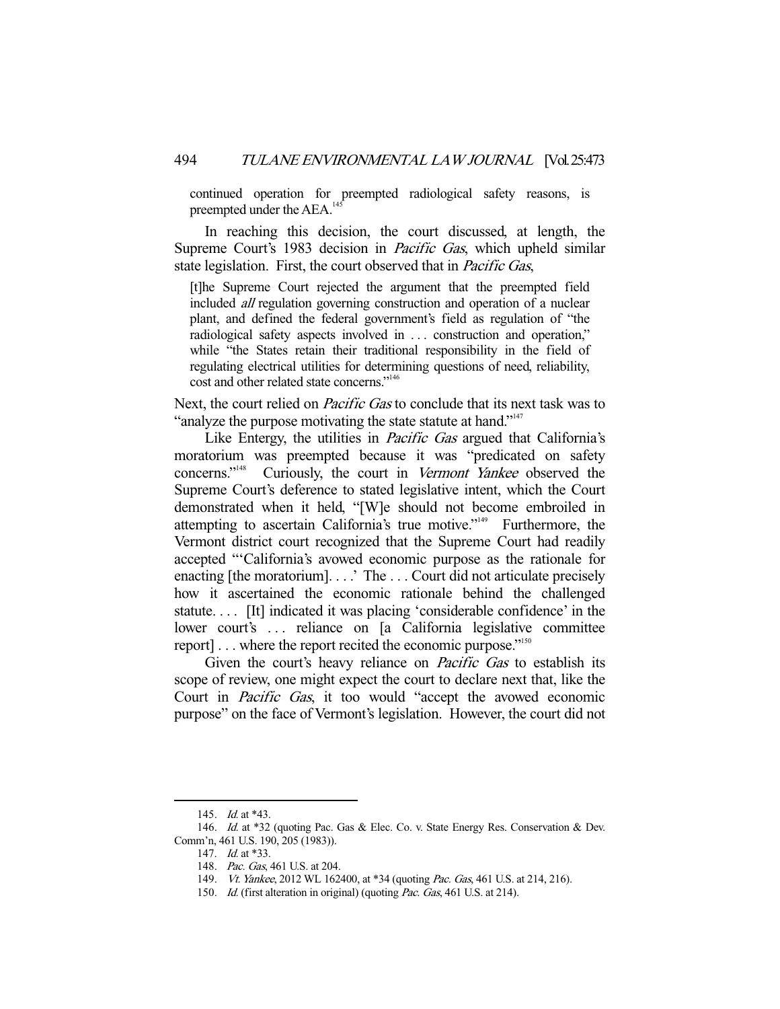continued operation for preempted radiological safety reasons, is preempted under the AEA.<sup>145</sup>

 In reaching this decision, the court discussed, at length, the Supreme Court's 1983 decision in Pacific Gas, which upheld similar state legislation. First, the court observed that in Pacific Gas,

[t]he Supreme Court rejected the argument that the preempted field included all regulation governing construction and operation of a nuclear plant, and defined the federal government's field as regulation of "the radiological safety aspects involved in ... construction and operation," while "the States retain their traditional responsibility in the field of regulating electrical utilities for determining questions of need, reliability, cost and other related state concerns."<sup>146</sup>

Next, the court relied on *Pacific Gas* to conclude that its next task was to "analyze the purpose motivating the state statute at hand."<sup>147</sup>

Like Entergy, the utilities in *Pacific Gas* argued that California's moratorium was preempted because it was "predicated on safety concerns."<sup>148</sup> Curiously, the court in Vermont Yankee observed the Supreme Court's deference to stated legislative intent, which the Court demonstrated when it held, "[W]e should not become embroiled in attempting to ascertain California's true motive."<sup>149</sup> Furthermore, the Vermont district court recognized that the Supreme Court had readily accepted "'California's avowed economic purpose as the rationale for enacting [the moratorium]....' The ... Court did not articulate precisely how it ascertained the economic rationale behind the challenged statute. . . . [It] indicated it was placing 'considerable confidence' in the lower court's ... reliance on [a California legislative committee report]... where the report recited the economic purpose."<sup>150</sup>

Given the court's heavy reliance on *Pacific Gas* to establish its scope of review, one might expect the court to declare next that, like the Court in Pacific Gas, it too would "accept the avowed economic purpose" on the face of Vermont's legislation. However, the court did not

<sup>145.</sup> *Id.* at \*43.

<sup>146.</sup> Id. at \*32 (quoting Pac. Gas & Elec. Co. v. State Energy Res. Conservation & Dev. Comm'n, 461 U.S. 190, 205 (1983)).

<sup>147.</sup> *Id.* at \*33.

 <sup>148.</sup> Pac. Gas, 461 U.S. at 204.

<sup>149.</sup> *Vt. Yankee*, 2012 WL 162400, at \*34 (quoting Pac. Gas, 461 U.S. at 214, 216).

<sup>150.</sup> Id. (first alteration in original) (quoting Pac. Gas, 461 U.S. at 214).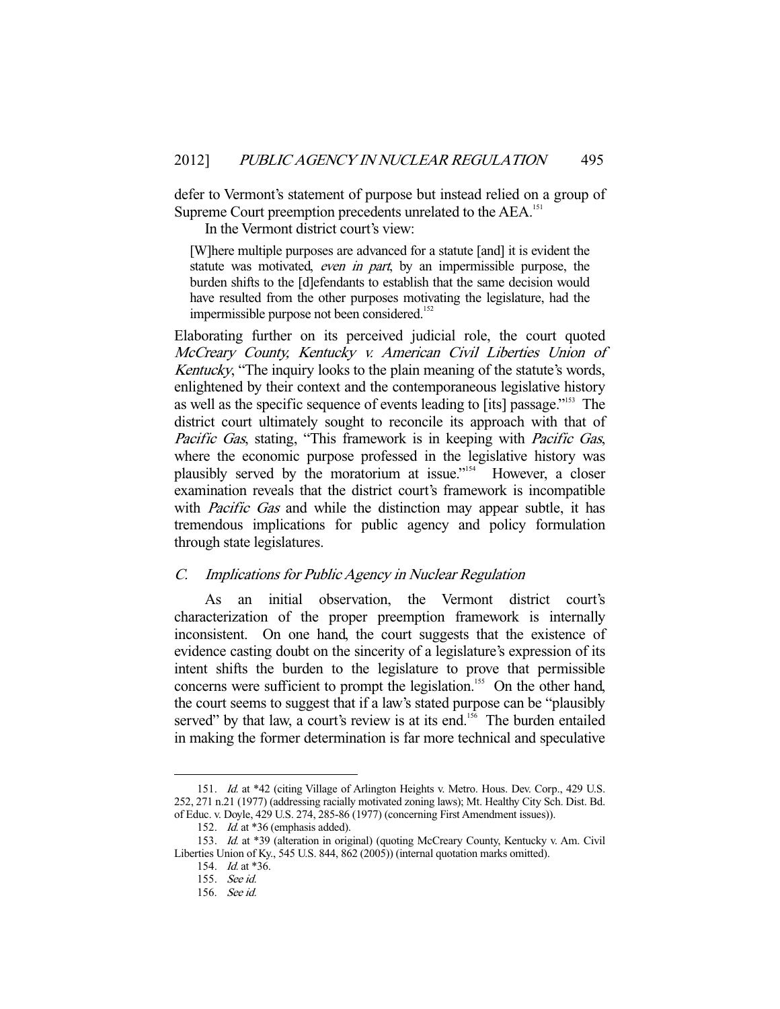defer to Vermont's statement of purpose but instead relied on a group of Supreme Court preemption precedents unrelated to the AEA.<sup>151</sup>

In the Vermont district court's view:

[W]here multiple purposes are advanced for a statute [and] it is evident the statute was motivated, even in part, by an impermissible purpose, the burden shifts to the [d]efendants to establish that the same decision would have resulted from the other purposes motivating the legislature, had the impermissible purpose not been considered.<sup>152</sup>

Elaborating further on its perceived judicial role, the court quoted McCreary County, Kentucky v. American Civil Liberties Union of Kentucky, "The inquiry looks to the plain meaning of the statute's words, enlightened by their context and the contemporaneous legislative history as well as the specific sequence of events leading to [its] passage."153 The district court ultimately sought to reconcile its approach with that of Pacific Gas, stating, "This framework is in keeping with *Pacific Gas*, where the economic purpose professed in the legislative history was plausibly served by the moratorium at issue."<sup>154</sup> However, a closer examination reveals that the district court's framework is incompatible with *Pacific Gas* and while the distinction may appear subtle, it has tremendous implications for public agency and policy formulation through state legislatures.

#### C. Implications for Public Agency in Nuclear Regulation

 As an initial observation, the Vermont district court's characterization of the proper preemption framework is internally inconsistent. On one hand, the court suggests that the existence of evidence casting doubt on the sincerity of a legislature's expression of its intent shifts the burden to the legislature to prove that permissible concerns were sufficient to prompt the legislation.<sup>155</sup> On the other hand, the court seems to suggest that if a law's stated purpose can be "plausibly served" by that law, a court's review is at its end.<sup>156</sup> The burden entailed in making the former determination is far more technical and speculative

<sup>151.</sup> Id. at \*42 (citing Village of Arlington Heights v. Metro. Hous. Dev. Corp., 429 U.S. 252, 271 n.21 (1977) (addressing racially motivated zoning laws); Mt. Healthy City Sch. Dist. Bd. of Educ. v. Doyle, 429 U.S. 274, 285-86 (1977) (concerning First Amendment issues)).

<sup>152.</sup> Id. at \*36 (emphasis added).

 <sup>153.</sup> Id. at \*39 (alteration in original) (quoting McCreary County, Kentucky v. Am. Civil Liberties Union of Ky., 545 U.S. 844, 862 (2005)) (internal quotation marks omitted).

 <sup>154.</sup> Id. at \*36.

 <sup>155.</sup> See id.

 <sup>156.</sup> See id.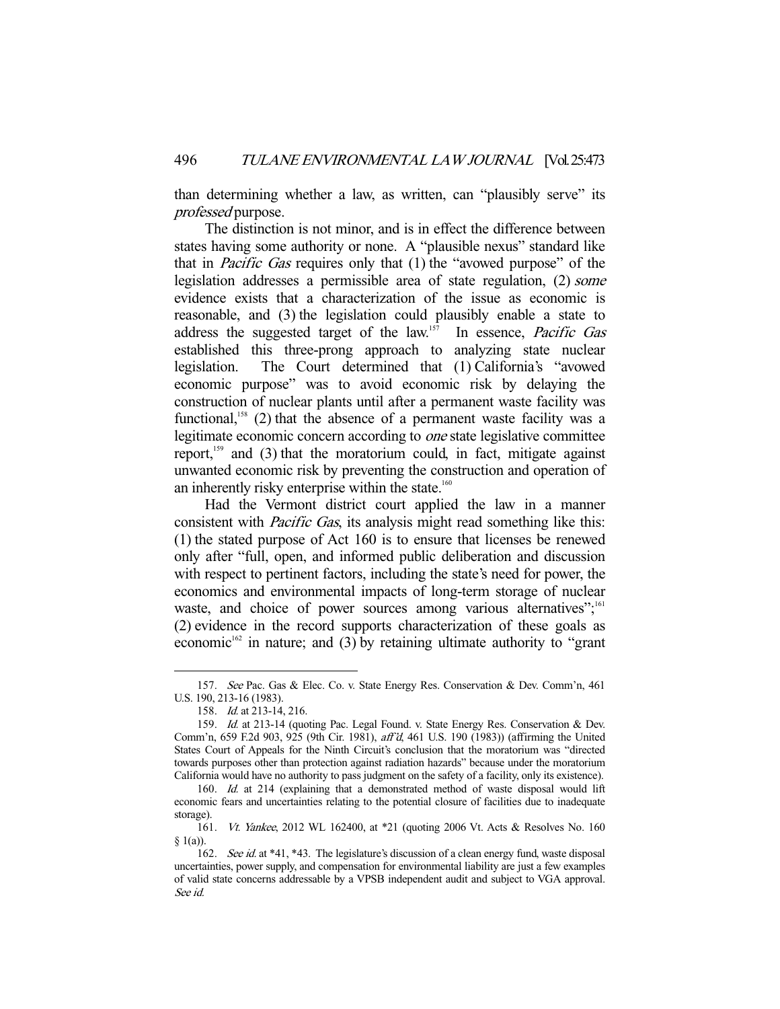than determining whether a law, as written, can "plausibly serve" its professed purpose.

 The distinction is not minor, and is in effect the difference between states having some authority or none. A "plausible nexus" standard like that in Pacific Gas requires only that (1) the "avowed purpose" of the legislation addresses a permissible area of state regulation, (2) some evidence exists that a characterization of the issue as economic is reasonable, and (3) the legislation could plausibly enable a state to address the suggested target of the law.<sup>157</sup> In essence, *Pacific Gas* established this three-prong approach to analyzing state nuclear legislation. The Court determined that (1) California's "avowed economic purpose" was to avoid economic risk by delaying the construction of nuclear plants until after a permanent waste facility was functional,<sup>158</sup> (2) that the absence of a permanent waste facility was a legitimate economic concern according to one state legislative committee report, $159$  and (3) that the moratorium could, in fact, mitigate against unwanted economic risk by preventing the construction and operation of an inherently risky enterprise within the state.<sup>160</sup>

 Had the Vermont district court applied the law in a manner consistent with *Pacific Gas*, its analysis might read something like this: (1) the stated purpose of Act 160 is to ensure that licenses be renewed only after "full, open, and informed public deliberation and discussion with respect to pertinent factors, including the state's need for power, the economics and environmental impacts of long-term storage of nuclear waste, and choice of power sources among various alternatives";<sup>161</sup> (2) evidence in the record supports characterization of these goals as economic<sup>162</sup> in nature; and (3) by retaining ultimate authority to "grant"

 <sup>157.</sup> See Pac. Gas & Elec. Co. v. State Energy Res. Conservation & Dev. Comm'n, 461 U.S. 190, 213-16 (1983).

 <sup>158.</sup> Id. at 213-14, 216.

<sup>159.</sup> Id. at 213-14 (quoting Pac. Legal Found. v. State Energy Res. Conservation & Dev. Comm'n, 659 F.2d 903, 925 (9th Cir. 1981), aff'd, 461 U.S. 190 (1983)) (affirming the United States Court of Appeals for the Ninth Circuit's conclusion that the moratorium was "directed towards purposes other than protection against radiation hazards" because under the moratorium California would have no authority to pass judgment on the safety of a facility, only its existence).

<sup>160.</sup> Id. at 214 (explaining that a demonstrated method of waste disposal would lift economic fears and uncertainties relating to the potential closure of facilities due to inadequate storage).

 <sup>161.</sup> Vt. Yankee, 2012 WL 162400, at \*21 (quoting 2006 Vt. Acts & Resolves No. 160  $§$  1(a)).

<sup>162.</sup> See id. at \*41, \*43. The legislature's discussion of a clean energy fund, waste disposal uncertainties, power supply, and compensation for environmental liability are just a few examples of valid state concerns addressable by a VPSB independent audit and subject to VGA approval. See id.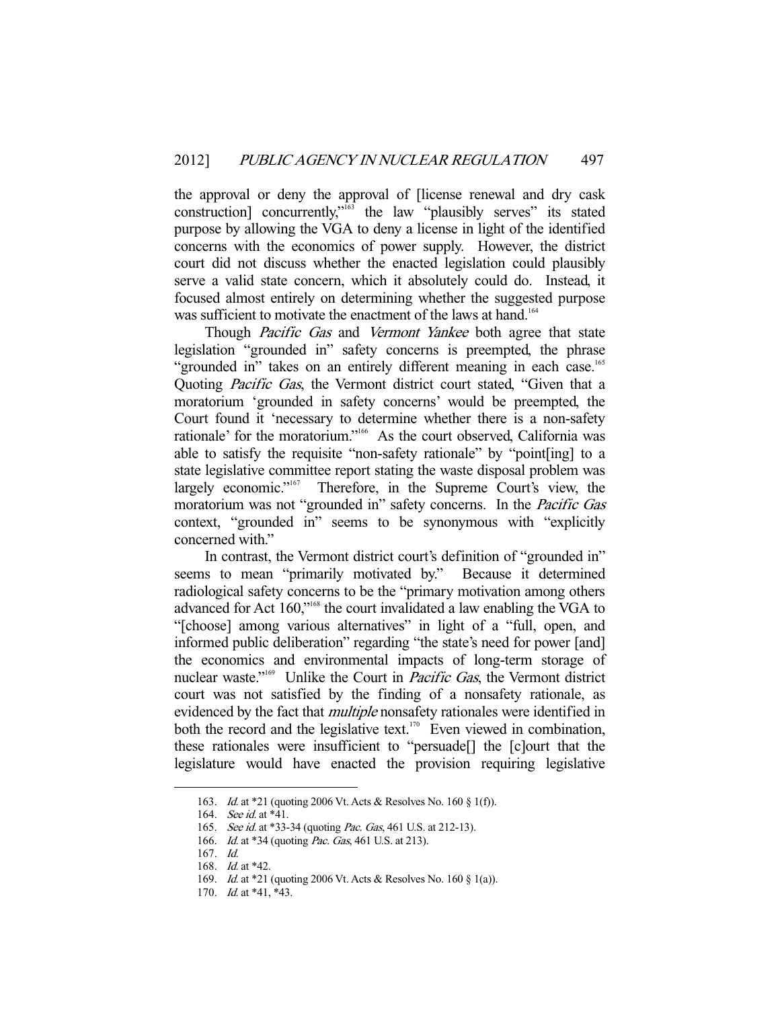the approval or deny the approval of [license renewal and dry cask construction] concurrently,"<sup>163</sup> the law "plausibly serves" its stated purpose by allowing the VGA to deny a license in light of the identified concerns with the economics of power supply. However, the district court did not discuss whether the enacted legislation could plausibly serve a valid state concern, which it absolutely could do. Instead, it focused almost entirely on determining whether the suggested purpose was sufficient to motivate the enactment of the laws at hand.<sup>164</sup>

Though *Pacific Gas* and *Vermont Yankee* both agree that state legislation "grounded in" safety concerns is preempted, the phrase "grounded in" takes on an entirely different meaning in each case.<sup>165</sup> Quoting *Pacific Gas*, the Vermont district court stated, "Given that a moratorium 'grounded in safety concerns' would be preempted, the Court found it 'necessary to determine whether there is a non-safety rationale' for the moratorium."166 As the court observed, California was able to satisfy the requisite "non-safety rationale" by "point[ing] to a state legislative committee report stating the waste disposal problem was largely economic."<sup>67</sup> Therefore, in the Supreme Court's view, the Therefore, in the Supreme Court's view, the moratorium was not "grounded in" safety concerns. In the *Pacific Gas* context, "grounded in" seems to be synonymous with "explicitly concerned with."

 In contrast, the Vermont district court's definition of "grounded in" seems to mean "primarily motivated by." Because it determined radiological safety concerns to be the "primary motivation among others advanced for Act 160,"168 the court invalidated a law enabling the VGA to "[choose] among various alternatives" in light of a "full, open, and informed public deliberation" regarding "the state's need for power [and] the economics and environmental impacts of long-term storage of nuclear waste."<sup>169</sup> Unlike the Court in *Pacific Gas*, the Vermont district court was not satisfied by the finding of a nonsafety rationale, as evidenced by the fact that *multiple* nonsafety rationales were identified in both the record and the legislative text.<sup>170</sup> Even viewed in combination, these rationales were insufficient to "persuade[] the [c]ourt that the legislature would have enacted the provision requiring legislative

 <sup>163.</sup> Id. at \*21 (quoting 2006 Vt. Acts & Resolves No. 160 § 1(f)).

<sup>164.</sup> See id. at \*41.

<sup>165.</sup> See id. at \*33-34 (quoting Pac. Gas, 461 U.S. at 212-13).

<sup>166.</sup> *Id.* at \*34 (quoting *Pac. Gas*, 461 U.S. at 213).

 <sup>167.</sup> Id.

<sup>168.</sup> *Id.* at \*42.

 <sup>169.</sup> Id. at \*21 (quoting 2006 Vt. Acts & Resolves No. 160 § 1(a)).

<sup>170.</sup> *Id.* at \*41, \*43.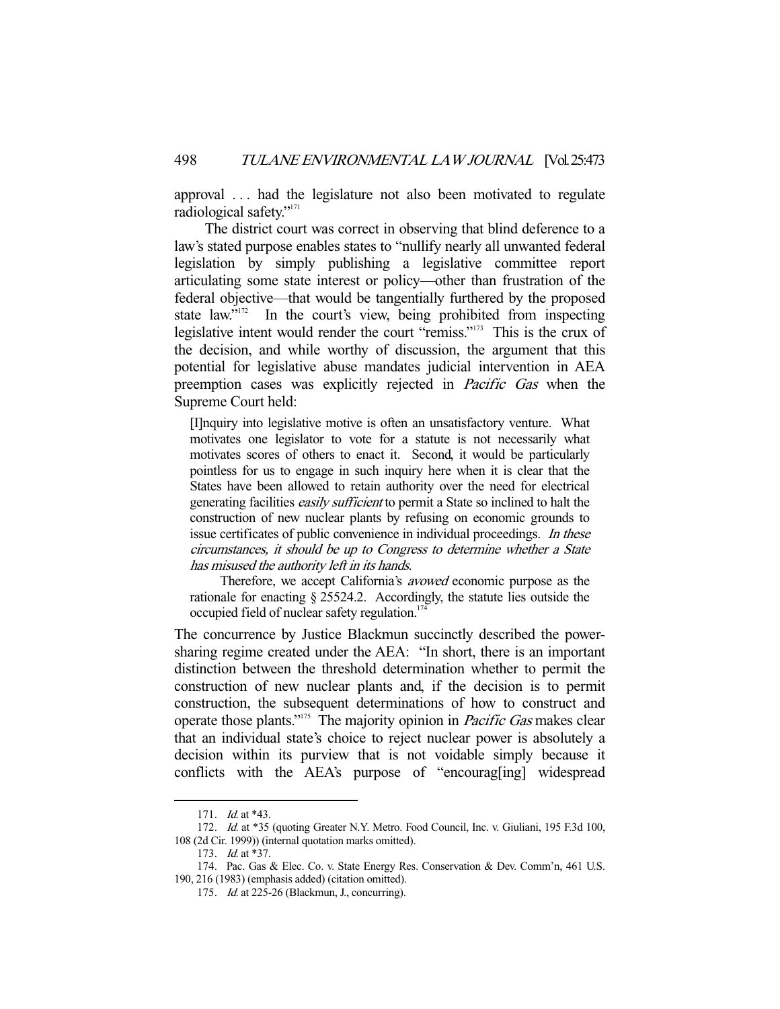approval . . . had the legislature not also been motivated to regulate radiological safety."171

 The district court was correct in observing that blind deference to a law's stated purpose enables states to "nullify nearly all unwanted federal legislation by simply publishing a legislative committee report articulating some state interest or policy—other than frustration of the federal objective—that would be tangentially furthered by the proposed state law."<sup>172</sup> In the court's view, being prohibited from inspecting legislative intent would render the court "remiss."<sup>173</sup> This is the crux of the decision, and while worthy of discussion, the argument that this potential for legislative abuse mandates judicial intervention in AEA preemption cases was explicitly rejected in Pacific Gas when the Supreme Court held:

[I]nquiry into legislative motive is often an unsatisfactory venture. What motivates one legislator to vote for a statute is not necessarily what motivates scores of others to enact it. Second, it would be particularly pointless for us to engage in such inquiry here when it is clear that the States have been allowed to retain authority over the need for electrical generating facilities easily sufficient to permit a State so inclined to halt the construction of new nuclear plants by refusing on economic grounds to issue certificates of public convenience in individual proceedings. In these circumstances, it should be up to Congress to determine whether a State has misused the authority left in its hands.

 Therefore, we accept California's avowed economic purpose as the rationale for enacting § 25524.2. Accordingly, the statute lies outside the occupied field of nuclear safety regulation.<sup>174</sup>

The concurrence by Justice Blackmun succinctly described the powersharing regime created under the AEA: "In short, there is an important distinction between the threshold determination whether to permit the construction of new nuclear plants and, if the decision is to permit construction, the subsequent determinations of how to construct and operate those plants."175 The majority opinion in Pacific Gas makes clear that an individual state's choice to reject nuclear power is absolutely a decision within its purview that is not voidable simply because it conflicts with the AEA's purpose of "encourag[ing] widespread

<sup>171.</sup> *Id.* at \*43.

<sup>172.</sup> Id. at \*35 (quoting Greater N.Y. Metro. Food Council, Inc. v. Giuliani, 195 F.3d 100, 108 (2d Cir. 1999)) (internal quotation marks omitted).

<sup>173.</sup> *Id.* at \*37.

 <sup>174.</sup> Pac. Gas & Elec. Co. v. State Energy Res. Conservation & Dev. Comm'n, 461 U.S. 190, 216 (1983) (emphasis added) (citation omitted).

 <sup>175.</sup> Id. at 225-26 (Blackmun, J., concurring).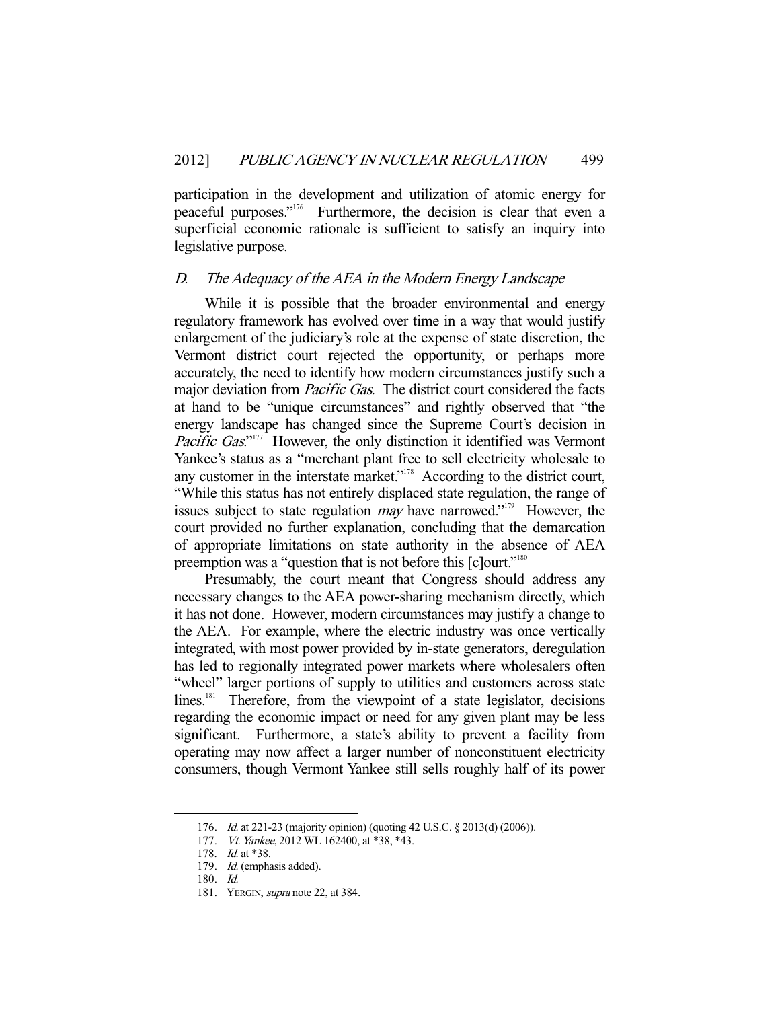participation in the development and utilization of atomic energy for peaceful purposes."176 Furthermore, the decision is clear that even a superficial economic rationale is sufficient to satisfy an inquiry into legislative purpose.

#### D. The Adequacy of the AEA in the Modern Energy Landscape

 While it is possible that the broader environmental and energy regulatory framework has evolved over time in a way that would justify enlargement of the judiciary's role at the expense of state discretion, the Vermont district court rejected the opportunity, or perhaps more accurately, the need to identify how modern circumstances justify such a major deviation from *Pacific Gas*. The district court considered the facts at hand to be "unique circumstances" and rightly observed that "the energy landscape has changed since the Supreme Court's decision in Pacific Gas."<sup>177</sup> However, the only distinction it identified was Vermont Yankee's status as a "merchant plant free to sell electricity wholesale to any customer in the interstate market."<sup>178</sup> According to the district court, "While this status has not entirely displaced state regulation, the range of issues subject to state regulation *may* have narrowed."<sup>179</sup> However, the court provided no further explanation, concluding that the demarcation of appropriate limitations on state authority in the absence of AEA preemption was a "question that is not before this [c]ourt."<sup>180</sup>

 Presumably, the court meant that Congress should address any necessary changes to the AEA power-sharing mechanism directly, which it has not done. However, modern circumstances may justify a change to the AEA. For example, where the electric industry was once vertically integrated, with most power provided by in-state generators, deregulation has led to regionally integrated power markets where wholesalers often "wheel" larger portions of supply to utilities and customers across state lines.<sup>181</sup> Therefore, from the viewpoint of a state legislator, decisions regarding the economic impact or need for any given plant may be less significant. Furthermore, a state's ability to prevent a facility from operating may now affect a larger number of nonconstituent electricity consumers, though Vermont Yankee still sells roughly half of its power

 <sup>176.</sup> Id. at 221-23 (majority opinion) (quoting 42 U.S.C. § 2013(d) (2006)).

<sup>177.</sup> *Vt. Yankee*, 2012 WL 162400, at \*38, \*43.

<sup>178.</sup> *Id.* at \*38.

<sup>179.</sup> Id. (emphasis added).

 <sup>180.</sup> Id.

<sup>181.</sup> YERGIN, *supra* note 22, at 384.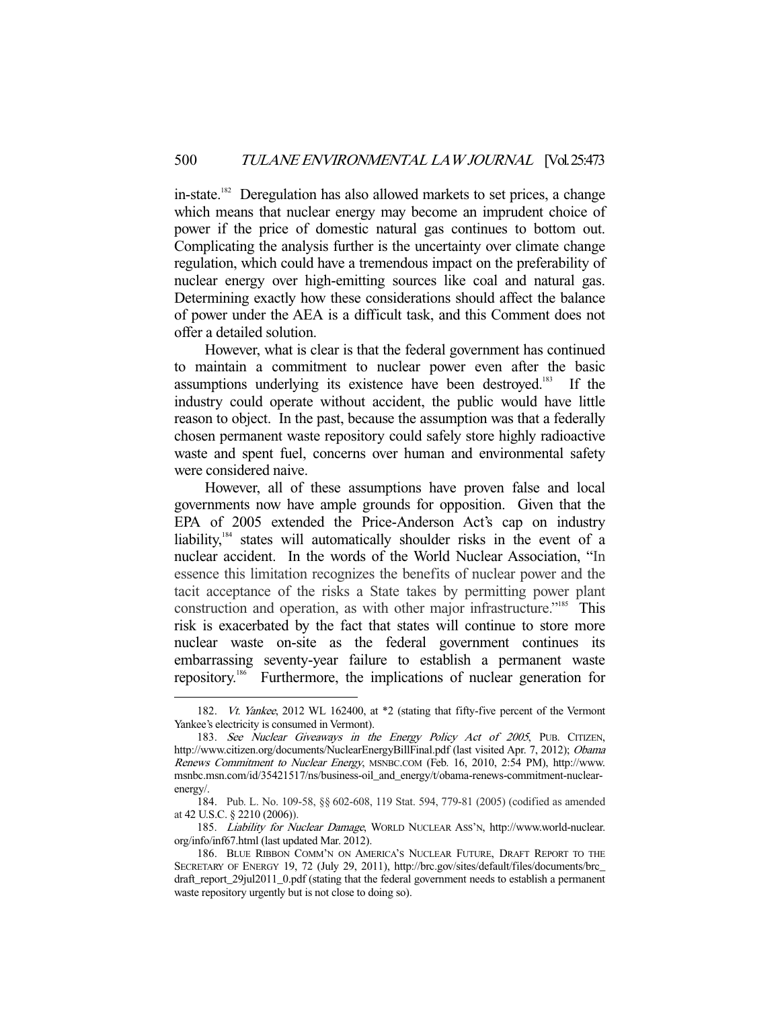in-state.182 Deregulation has also allowed markets to set prices, a change which means that nuclear energy may become an imprudent choice of power if the price of domestic natural gas continues to bottom out. Complicating the analysis further is the uncertainty over climate change regulation, which could have a tremendous impact on the preferability of nuclear energy over high-emitting sources like coal and natural gas. Determining exactly how these considerations should affect the balance of power under the AEA is a difficult task, and this Comment does not offer a detailed solution.

 However, what is clear is that the federal government has continued to maintain a commitment to nuclear power even after the basic assumptions underlying its existence have been destroyed.183 If the industry could operate without accident, the public would have little reason to object. In the past, because the assumption was that a federally chosen permanent waste repository could safely store highly radioactive waste and spent fuel, concerns over human and environmental safety were considered naive.

 However, all of these assumptions have proven false and local governments now have ample grounds for opposition. Given that the EPA of 2005 extended the Price-Anderson Act's cap on industry liability,<sup>184</sup> states will automatically shoulder risks in the event of a nuclear accident. In the words of the World Nuclear Association, "In essence this limitation recognizes the benefits of nuclear power and the tacit acceptance of the risks a State takes by permitting power plant construction and operation, as with other major infrastructure."<sup>185</sup> This risk is exacerbated by the fact that states will continue to store more nuclear waste on-site as the federal government continues its embarrassing seventy-year failure to establish a permanent waste repository.186 Furthermore, the implications of nuclear generation for

<sup>182.</sup> *Vt. Yankee*, 2012 WL 162400, at \*2 (stating that fifty-five percent of the Vermont Yankee's electricity is consumed in Vermont).

<sup>183.</sup> See Nuclear Giveaways in the Energy Policy Act of 2005, PUB. CITIZEN, http://www.citizen.org/documents/NuclearEnergyBillFinal.pdf (last visited Apr. 7, 2012); Obama Renews Commitment to Nuclear Energy, MSNBC.COM (Feb. 16, 2010, 2:54 PM), http://www. msnbc.msn.com/id/35421517/ns/business-oil\_and\_energy/t/obama-renews-commitment-nuclearenergy/.

 <sup>184.</sup> Pub. L. No. 109-58, §§ 602-608, 119 Stat. 594, 779-81 (2005) (codified as amended at 42 U.S.C. § 2210 (2006)).

 <sup>185.</sup> Liability for Nuclear Damage, WORLD NUCLEAR ASS'N, http://www.world-nuclear. org/info/inf67.html (last updated Mar. 2012).

 <sup>186.</sup> BLUE RIBBON COMM'N ON AMERICA'S NUCLEAR FUTURE, DRAFT REPORT TO THE SECRETARY OF ENERGY 19, 72 (July 29, 2011), http://brc.gov/sites/default/files/documents/brc\_ draft\_report\_29jul2011\_0.pdf (stating that the federal government needs to establish a permanent waste repository urgently but is not close to doing so).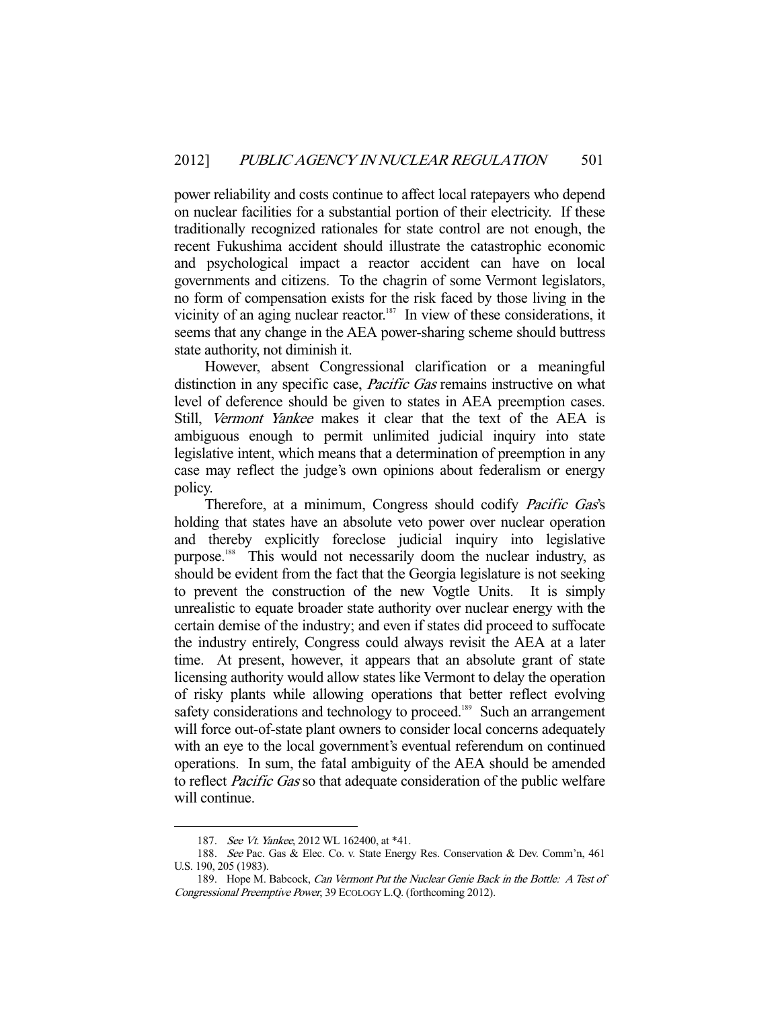power reliability and costs continue to affect local ratepayers who depend on nuclear facilities for a substantial portion of their electricity. If these traditionally recognized rationales for state control are not enough, the recent Fukushima accident should illustrate the catastrophic economic and psychological impact a reactor accident can have on local governments and citizens. To the chagrin of some Vermont legislators, no form of compensation exists for the risk faced by those living in the vicinity of an aging nuclear reactor.<sup>187</sup> In view of these considerations, it seems that any change in the AEA power-sharing scheme should buttress state authority, not diminish it.

 However, absent Congressional clarification or a meaningful distinction in any specific case, *Pacific Gas* remains instructive on what level of deference should be given to states in AEA preemption cases. Still, Vermont Yankee makes it clear that the text of the AEA is ambiguous enough to permit unlimited judicial inquiry into state legislative intent, which means that a determination of preemption in any case may reflect the judge's own opinions about federalism or energy policy.

Therefore, at a minimum, Congress should codify *Pacific Gas's* holding that states have an absolute veto power over nuclear operation and thereby explicitly foreclose judicial inquiry into legislative purpose.<sup>188</sup> This would not necessarily doom the nuclear industry, as should be evident from the fact that the Georgia legislature is not seeking to prevent the construction of the new Vogtle Units. It is simply unrealistic to equate broader state authority over nuclear energy with the certain demise of the industry; and even if states did proceed to suffocate the industry entirely, Congress could always revisit the AEA at a later time. At present, however, it appears that an absolute grant of state licensing authority would allow states like Vermont to delay the operation of risky plants while allowing operations that better reflect evolving safety considerations and technology to proceed.<sup>189</sup> Such an arrangement will force out-of-state plant owners to consider local concerns adequately with an eye to the local government's eventual referendum on continued operations. In sum, the fatal ambiguity of the AEA should be amended to reflect Pacific Gas so that adequate consideration of the public welfare will continue.

<sup>187.</sup> See Vt. Yankee, 2012 WL 162400, at \*41.

<sup>188.</sup> See Pac. Gas & Elec. Co. v. State Energy Res. Conservation & Dev. Comm'n, 461 U.S. 190, 205 (1983).

<sup>189.</sup> Hope M. Babcock, Can Vermont Put the Nuclear Genie Back in the Bottle: A Test of Congressional Preemptive Power, 39 ECOLOGY L.Q. (forthcoming 2012).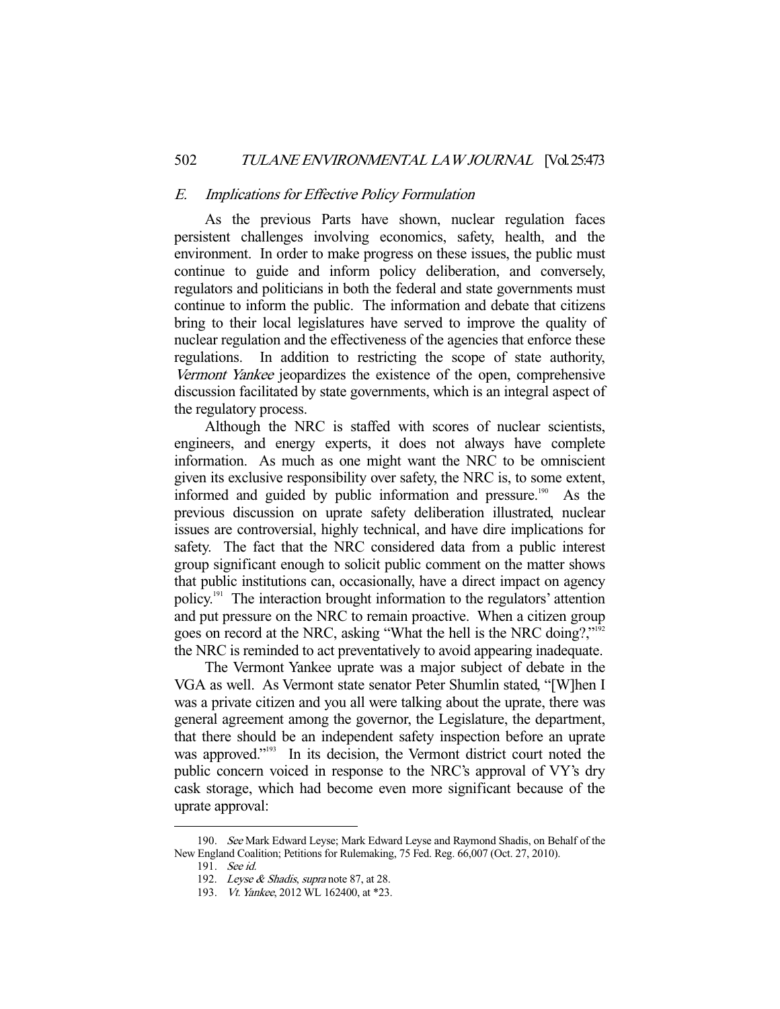#### E. Implications for Effective Policy Formulation

 As the previous Parts have shown, nuclear regulation faces persistent challenges involving economics, safety, health, and the environment. In order to make progress on these issues, the public must continue to guide and inform policy deliberation, and conversely, regulators and politicians in both the federal and state governments must continue to inform the public. The information and debate that citizens bring to their local legislatures have served to improve the quality of nuclear regulation and the effectiveness of the agencies that enforce these regulations. In addition to restricting the scope of state authority, Vermont Yankee jeopardizes the existence of the open, comprehensive discussion facilitated by state governments, which is an integral aspect of the regulatory process.

 Although the NRC is staffed with scores of nuclear scientists, engineers, and energy experts, it does not always have complete information. As much as one might want the NRC to be omniscient given its exclusive responsibility over safety, the NRC is, to some extent, informed and guided by public information and pressure.<sup>190</sup> As the previous discussion on uprate safety deliberation illustrated, nuclear issues are controversial, highly technical, and have dire implications for safety. The fact that the NRC considered data from a public interest group significant enough to solicit public comment on the matter shows that public institutions can, occasionally, have a direct impact on agency policy.191 The interaction brought information to the regulators' attention and put pressure on the NRC to remain proactive. When a citizen group goes on record at the NRC, asking "What the hell is the NRC doing?,"<sup>192</sup> the NRC is reminded to act preventatively to avoid appearing inadequate.

 The Vermont Yankee uprate was a major subject of debate in the VGA as well. As Vermont state senator Peter Shumlin stated, "[W]hen I was a private citizen and you all were talking about the uprate, there was general agreement among the governor, the Legislature, the department, that there should be an independent safety inspection before an uprate was approved."<sup>193</sup> In its decision, the Vermont district court noted the public concern voiced in response to the NRC's approval of VY's dry cask storage, which had become even more significant because of the uprate approval:

 <sup>190.</sup> See Mark Edward Leyse; Mark Edward Leyse and Raymond Shadis, on Behalf of the New England Coalition; Petitions for Rulemaking, 75 Fed. Reg. 66,007 (Oct. 27, 2010).

 <sup>191.</sup> See id.

<sup>192.</sup> Leyse & Shadis, supra note 87, at 28.

<sup>193.</sup> *Vt. Yankee*, 2012 WL 162400, at \*23.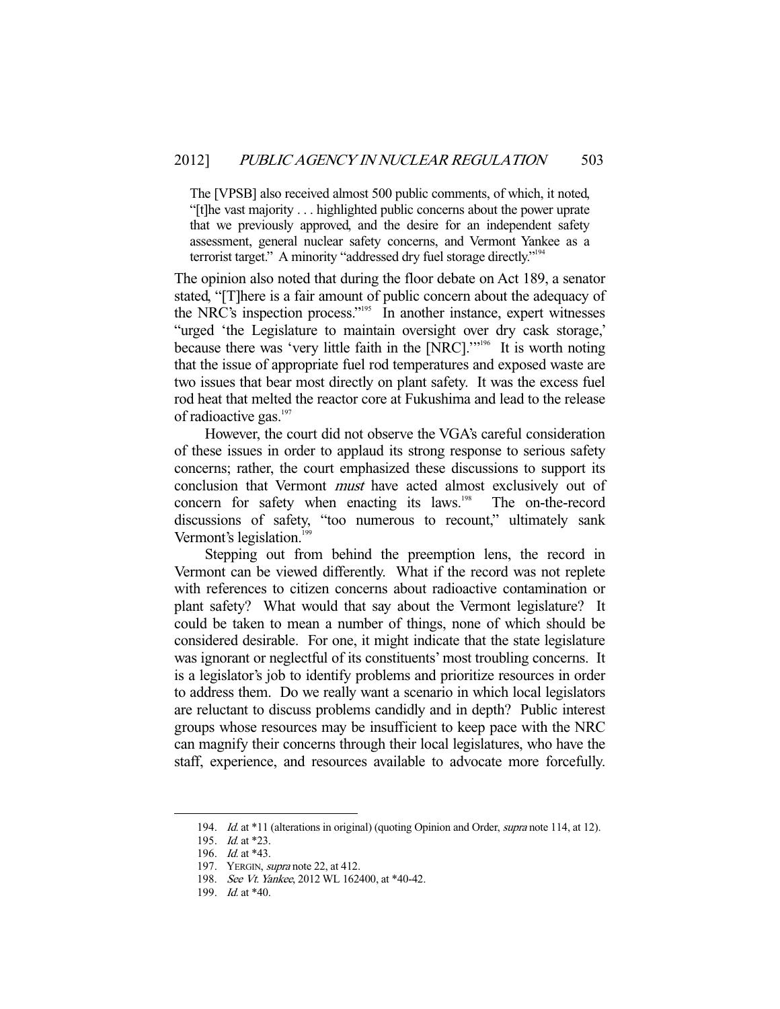The [VPSB] also received almost 500 public comments, of which, it noted, "[t]he vast majority . . . highlighted public concerns about the power uprate that we previously approved, and the desire for an independent safety assessment, general nuclear safety concerns, and Vermont Yankee as a terrorist target." A minority "addressed dry fuel storage directly."<sup>194</sup>

The opinion also noted that during the floor debate on Act 189, a senator stated, "[T]here is a fair amount of public concern about the adequacy of the NRC's inspection process."195 In another instance, expert witnesses "urged 'the Legislature to maintain oversight over dry cask storage,' because there was 'very little faith in the [NRC].'"196 It is worth noting that the issue of appropriate fuel rod temperatures and exposed waste are two issues that bear most directly on plant safety. It was the excess fuel rod heat that melted the reactor core at Fukushima and lead to the release of radioactive gas.<sup>197</sup>

 However, the court did not observe the VGA's careful consideration of these issues in order to applaud its strong response to serious safety concerns; rather, the court emphasized these discussions to support its conclusion that Vermont must have acted almost exclusively out of concern for safety when enacting its laws.<sup>198</sup> The on-the-record discussions of safety, "too numerous to recount," ultimately sank Vermont's legislation.<sup>199</sup>

 Stepping out from behind the preemption lens, the record in Vermont can be viewed differently. What if the record was not replete with references to citizen concerns about radioactive contamination or plant safety? What would that say about the Vermont legislature? It could be taken to mean a number of things, none of which should be considered desirable. For one, it might indicate that the state legislature was ignorant or neglectful of its constituents' most troubling concerns. It is a legislator's job to identify problems and prioritize resources in order to address them. Do we really want a scenario in which local legislators are reluctant to discuss problems candidly and in depth? Public interest groups whose resources may be insufficient to keep pace with the NRC can magnify their concerns through their local legislatures, who have the staff, experience, and resources available to advocate more forcefully.

<sup>194.</sup> Id. at \*11 (alterations in original) (quoting Opinion and Order, *supra* note 114, at 12).

 <sup>195.</sup> Id. at \*23.

<sup>196.</sup> *Id.* at \*43.

<sup>197.</sup> YERGIN, *supra* note 22, at 412.

<sup>198.</sup> See Vt. Yankee, 2012 WL 162400, at \*40-42.

<sup>199.</sup> *Id.* at \*40.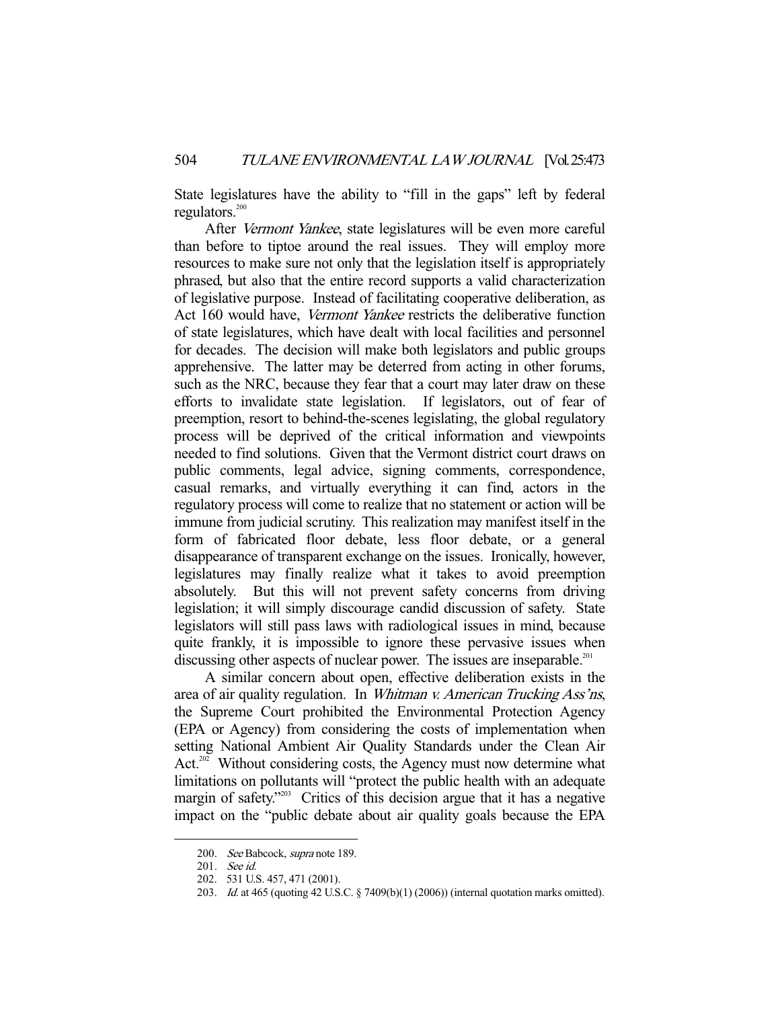State legislatures have the ability to "fill in the gaps" left by federal regulators.<sup>200</sup>

After Vermont Yankee, state legislatures will be even more careful than before to tiptoe around the real issues. They will employ more resources to make sure not only that the legislation itself is appropriately phrased, but also that the entire record supports a valid characterization of legislative purpose. Instead of facilitating cooperative deliberation, as Act 160 would have, Vermont Yankee restricts the deliberative function of state legislatures, which have dealt with local facilities and personnel for decades. The decision will make both legislators and public groups apprehensive. The latter may be deterred from acting in other forums, such as the NRC, because they fear that a court may later draw on these efforts to invalidate state legislation. If legislators, out of fear of preemption, resort to behind-the-scenes legislating, the global regulatory process will be deprived of the critical information and viewpoints needed to find solutions. Given that the Vermont district court draws on public comments, legal advice, signing comments, correspondence, casual remarks, and virtually everything it can find, actors in the regulatory process will come to realize that no statement or action will be immune from judicial scrutiny. This realization may manifest itself in the form of fabricated floor debate, less floor debate, or a general disappearance of transparent exchange on the issues. Ironically, however, legislatures may finally realize what it takes to avoid preemption absolutely. But this will not prevent safety concerns from driving legislation; it will simply discourage candid discussion of safety. State legislators will still pass laws with radiological issues in mind, because quite frankly, it is impossible to ignore these pervasive issues when discussing other aspects of nuclear power. The issues are inseparable.<sup>201</sup>

 A similar concern about open, effective deliberation exists in the area of air quality regulation. In Whitman v. American Trucking Ass'ns, the Supreme Court prohibited the Environmental Protection Agency (EPA or Agency) from considering the costs of implementation when setting National Ambient Air Quality Standards under the Clean Air Act.<sup>202</sup> Without considering costs, the Agency must now determine what limitations on pollutants will "protect the public health with an adequate margin of safety."<sup>203</sup> Critics of this decision argue that it has a negative impact on the "public debate about air quality goals because the EPA

<sup>200.</sup> See Babcock, supra note 189.

 <sup>201.</sup> See id.

 <sup>202. 531</sup> U.S. 457, 471 (2001).

 <sup>203.</sup> Id. at 465 (quoting 42 U.S.C. § 7409(b)(1) (2006)) (internal quotation marks omitted).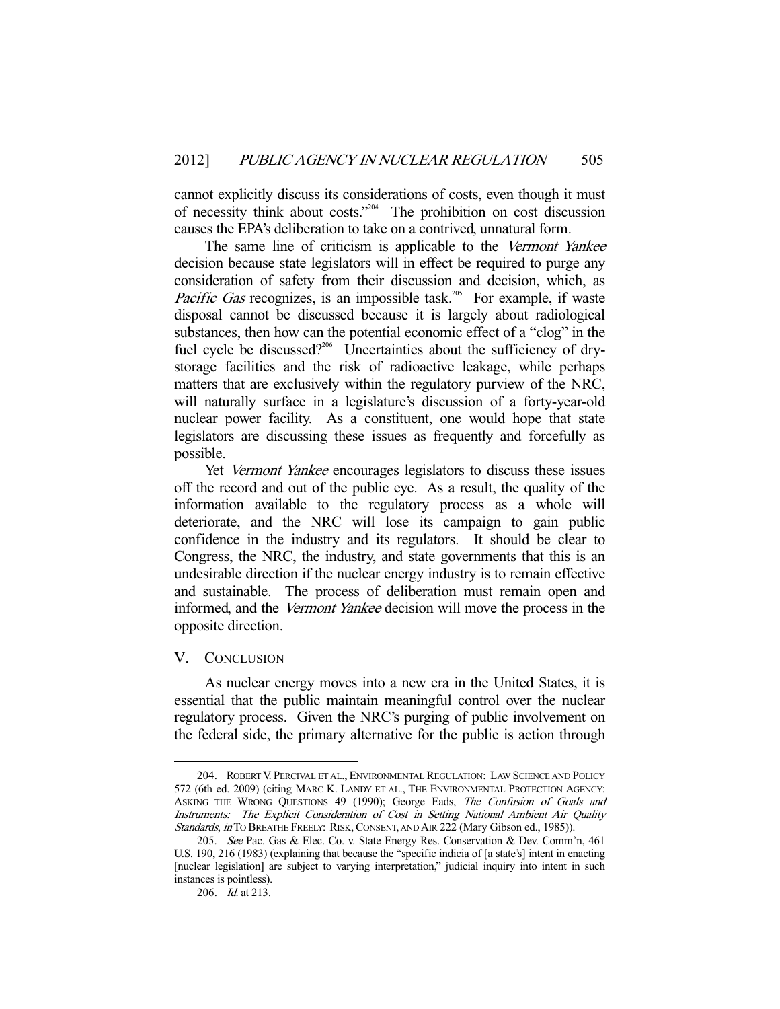cannot explicitly discuss its considerations of costs, even though it must of necessity think about costs."204 The prohibition on cost discussion causes the EPA's deliberation to take on a contrived, unnatural form.

The same line of criticism is applicable to the *Vermont Yankee* decision because state legislators will in effect be required to purge any consideration of safety from their discussion and decision, which, as *Pacific Gas* recognizes, is an impossible task.<sup>205</sup> For example, if waste disposal cannot be discussed because it is largely about radiological substances, then how can the potential economic effect of a "clog" in the fuel cycle be discussed?<sup>206</sup> Uncertainties about the sufficiency of drystorage facilities and the risk of radioactive leakage, while perhaps matters that are exclusively within the regulatory purview of the NRC, will naturally surface in a legislature's discussion of a forty-year-old nuclear power facility. As a constituent, one would hope that state legislators are discussing these issues as frequently and forcefully as possible.

 Yet Vermont Yankee encourages legislators to discuss these issues off the record and out of the public eye. As a result, the quality of the information available to the regulatory process as a whole will deteriorate, and the NRC will lose its campaign to gain public confidence in the industry and its regulators. It should be clear to Congress, the NRC, the industry, and state governments that this is an undesirable direction if the nuclear energy industry is to remain effective and sustainable. The process of deliberation must remain open and informed, and the Vermont Yankee decision will move the process in the opposite direction.

#### V. CONCLUSION

-

 As nuclear energy moves into a new era in the United States, it is essential that the public maintain meaningful control over the nuclear regulatory process. Given the NRC's purging of public involvement on the federal side, the primary alternative for the public is action through

 <sup>204.</sup> ROBERT V. PERCIVAL ET AL., ENVIRONMENTAL REGULATION: LAW SCIENCE AND POLICY 572 (6th ed. 2009) (citing MARC K. LANDY ET AL., THE ENVIRONMENTAL PROTECTION AGENCY: ASKING THE WRONG QUESTIONS 49 (1990); George Eads, The Confusion of Goals and Instruments: The Explicit Consideration of Cost in Setting National Ambient Air Quality Standards, in TO BREATHE FREELY: RISK, CONSENT, AND AIR 222 (Mary Gibson ed., 1985)).

<sup>205.</sup> See Pac. Gas & Elec. Co. v. State Energy Res. Conservation & Dev. Comm'n, 461 U.S. 190, 216 (1983) (explaining that because the "specific indicia of [a state's] intent in enacting [nuclear legislation] are subject to varying interpretation," judicial inquiry into intent in such instances is pointless).

 <sup>206.</sup> Id. at 213.